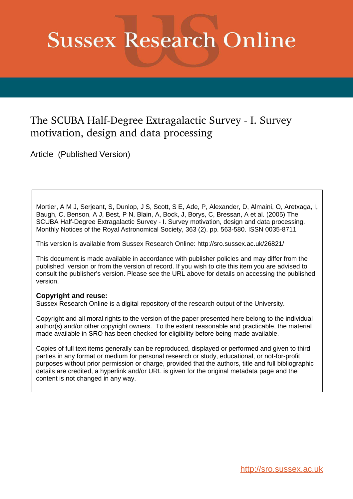# **Sussex Research Online**

# The SCUBA Half-Degree Extragalactic Survey - I. Survey motivation, design and data processing

Article (Published Version)

Mortier, A M J, Serjeant, S, Dunlop, J S, Scott, S E, Ade, P, Alexander, D, Almaini, O, Aretxaga, I, Baugh, C, Benson, A J, Best, P N, Blain, A, Bock, J, Borys, C, Bressan, A et al. (2005) The SCUBA Half-Degree Extragalactic Survey - I. Survey motivation, design and data processing. Monthly Notices of the Royal Astronomical Society, 363 (2). pp. 563-580. ISSN 0035-8711

This version is available from Sussex Research Online: http://sro.sussex.ac.uk/26821/

This document is made available in accordance with publisher policies and may differ from the published version or from the version of record. If you wish to cite this item you are advised to consult the publisher's version. Please see the URL above for details on accessing the published version.

# **Copyright and reuse:**

Sussex Research Online is a digital repository of the research output of the University.

Copyright and all moral rights to the version of the paper presented here belong to the individual author(s) and/or other copyright owners. To the extent reasonable and practicable, the material made available in SRO has been checked for eligibility before being made available.

Copies of full text items generally can be reproduced, displayed or performed and given to third parties in any format or medium for personal research or study, educational, or not-for-profit purposes without prior permission or charge, provided that the authors, title and full bibliographic details are credited, a hyperlink and/or URL is given for the original metadata page and the content is not changed in any way.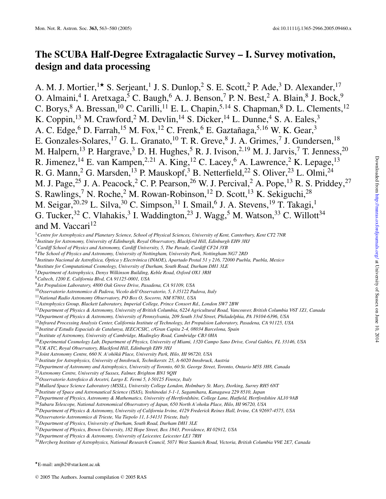# **The SCUBA Half-Degree Extragalactic Survey – I. Survey motivation, design and data processing**

A. M. J. Mortier,<sup>1★</sup> S. Serjeant,<sup>1</sup> J. S. Dunlop,<sup>2</sup> S. E. Scott,<sup>2</sup> P. Ade,<sup>3</sup> D. Alexander,<sup>17</sup> O. Almaini,<sup>4</sup> I. Aretxaga,<sup>5</sup> C. Baugh,<sup>6</sup> A. J. Benson,<sup>7</sup> P. N. Best,<sup>2</sup> A. Blain,<sup>8</sup> J. Bock,<sup>9</sup> C. Borys, A. Bressan,  $^{10}$  C. Carilli,  $^{11}$  E. L. Chapin,  $^{5,14}$  S. Chapman,  $^{8}$  D. L. Clements,  $^{12}$ K. Coppin,<sup>13</sup> M. Crawford,<sup>2</sup> M. Devlin,<sup>14</sup> S. Dicker,<sup>14</sup> L. Dunne,<sup>4</sup> S. A. Eales,<sup>3</sup> A. C. Edge, D. Farrah,  $^{15}$  M. Fox,  $^{12}$  C. Frenk,  $6$  E. Gaztañaga,  $^{5,16}$  W. K. Gear,  $^3$ E. Gonzales-Solares,  $^{17}$  G. L. Granato,  $^{10}$  T. R. Greve,  $^{8}$  J. A. Grimes,  $^{7}$  J. Gundersen,  $^{18}$ M. Halpern,<sup>13</sup> P. Hargrave,<sup>3</sup> D. H. Hughes,<sup>5</sup> R. J. Ivison,<sup>2,19</sup> M. J. Jarvis,<sup>7</sup> T. Jenness,<sup>20</sup> R. Jimenez,<sup>14</sup> E. van Kampen,<sup>2,21</sup> A. King,<sup>12</sup> C. Lacey,<sup>6</sup> A. Lawrence,<sup>2</sup> K. Lepage,<sup>13</sup> R. G. Mann,<sup>2</sup> G. Marsden,<sup>13</sup> P. Mauskopf,<sup>3</sup> B. Netterfield,<sup>22</sup> S. Oliver,<sup>23</sup> L. Olmi,<sup>24</sup> M. J. Page,<sup>25</sup> J. A. Peacock,<sup>2</sup> C. P. Pearson,<sup>26</sup> W. J. Percival,<sup>2</sup> A. Pope,<sup>13</sup> R. S. Priddey,<sup>27</sup> S. Rawlings,<sup>7</sup> N. Roche,<sup>2</sup> M. Rowan-Robinson,<sup>12</sup> D. Scott,<sup>13</sup> K. Sekiguchi,<sup>28</sup> M. Seigar,<sup>20,29</sup> L. Silva,<sup>30</sup> C. Simpson,<sup>31</sup> I. Smail,<sup>6</sup> J. A. Stevens,<sup>19</sup> T. Takagi,<sup>1</sup> G. Tucker,<sup>32</sup> C. Vlahakis,<sup>3</sup> I. Waddington,<sup>23</sup> J. Wagg,<sup>5</sup> M. Watson,<sup>33</sup> C. Willott<sup>34</sup> and M. Vaccari<sup>12</sup>

*Centre for Astrophysics and Planetary Science, School of Physical Sciences, University of Kent, Canterbury, Kent CT2 7NR*

*Institute for Astronomy, University of Edinburgh, Royal Observatory, Blackford Hill, Edinburgh EH9 3HJ*

*Cardiff School of Physics and Astronomy, Cardiff University, 5, The Parade, Cardiff CF24 3YB*

*The School of Physics and Astronomy, University of Nottingham, University Park, Nottingham NG7 2RD*

*Instituto Nacional de Astrof´ısica, Optica y Electr ´ onica (INAOE), Apartado Postal 51 y 216, 72000 Puebla, Puebla, Mexico ´*

*Institute for Computational Cosmology, University of Durham, South Road, Durham DH1 3LE*

*Department of Astrophysics, Denys Wilkinson Building, Keble Road, Oxford OX1 3RH*

*Caltech, 1200 E. California Blvd, CA 91125-0001, USA*

*Jet Propulsion Laboratory, 4800 Oak Grove Drive, Pasadena, CA 91109, USA*

*Osservatorio Astronomico di Padova, Vicolo dell'Osservatorio, 5, I-35122 Padova, Italy*

*National Radio Astronomy Observatory, PO Box O, Socorro, NM 87801, USA*

*Astrophysics Group, Blackett Laboratory, Imperial College, Prince Consort Rd., London SW7 2BW*

*Department of Physics & Astronomy, University of Pennsylvania, 209 South 33rd Street, Philadelphia, PA 19104-6396, USA*

*Infrared Processing Analysis Center, California Institute of Technology, Jet Propulsion Laboratory, Pasadena, CA 91125, USA*

*Institut d'Estudis Espacials de Catalunya, IEEC/CSIC, c/Gran Capita 2-4, 08034 Barcelona, Spain*

*Institute of Astronomy, University of Cambridge, Madingley Road, Cambridge CB3 0HA*

*Experimental Cosmology Lab, Department of Physics, University of Miami, 1320 Campo Sano Drive, Coral Gables, FL 33146, USA*

*UK ATC, Royal Observatory, Blackford Hill, Edinburgh EH9 3HJ*

<sup>20</sup>Joint Astronomy Centre, 660 N. A'ohōkū Place, University Park, Hilo, HI 96720, USA

*Institute for Astrophysics, University of Innsbruck, Technikerstr. 25, A-6020 Innsbruck, Austria*

*Department of Astronomy and Astrophysics, University of Toronto, 60 St. George Street, Toronto, Ontario M5S 3H8, Canada*

*Astronomy Centre, University of Sussex, Falmer, Brighton BN1 9QH*

*Osservatorio Astrofisico di Arcetri, Largo E. Fermi 5, I-50125 Firenze, Italy*

*Mullard Space Science Laboratory (MSSL), University College London, Holmbury St. Mary, Dorking, Surrey RH5 6NT*

*Institute of Space and Astronautical Science (ISAS), Yoshinodai 3-1-1, Sagamihara, Kanagawa 229 8510, Japan*

*Department of Physics, Astronomy & Mathematics, University of Hertfordshire, College Lane, Hatfield, Hertfordshire AL10 9AB*

*Subaru Telescope, National Astronomical Observatory of Japan, 650 North A'ohoku Place, Hilo, HI 96720, USA*

*Department of Physics & Astronomy, University of California Irvine, 4129 Frederick Reines Hall, Irvine, CA 92697-4575, USA*

*Osservatorio Astronomico di Trieste, Via Tiepolo 11, I-34131 Trieste, Italy*

*Department of Physics, University of Durham, South Road, Durham DH1 3LE*

*Department of Physics, Brown University, 182 Hope Street, Box 1843, Providence, RI 02912, USA*

*Department of Physics & Astronomy, University of Leicester, Leicester LE1 7RH*

*Herzberg Institute of Astrophysics, National Research Council, 5071 West Saanich Road, Victoria, British Columbia V9E 2E7, Canada*

⋆E-mail: amjb2@star.kent.ac.uk

*Department of Physics & Astronomy, University of British Columbia, 6224 Agricultural Road, Vancouver, British Columbia V6T 1Z1, Canada*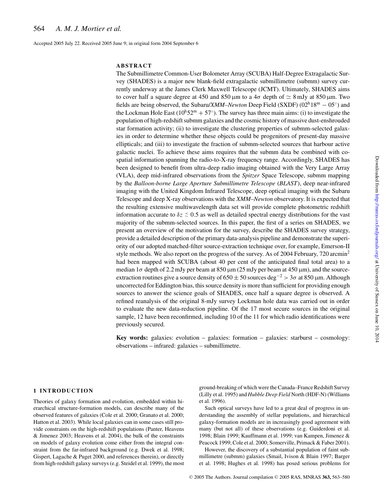Accepted 2005 July 22. Received 2005 June 9; in original form 2004 September 6

## **ABSTRACT**

The Submillimetre Common-User Bolometer Array (SCUBA) Half-Degree Extragalactic Survey (SHADES) is a major new blank-field extragalactic submillimetre (submm) survey currently underway at the James Clerk Maxwell Telescope (JCMT). Ultimately, SHADES aims to cover half a square degree at 450 and 850 µm to a  $4\sigma$  depth of  $\simeq 8$  mJy at 850 µm. Two fields are being observed, the Subaru/*XMM–Newton* Deep Field (SXDF) (02h18<sup>m</sup> <sup>−</sup> <sup>05</sup>◦ ) and the Lockman Hole East  $(10<sup>h</sup>52<sup>m</sup> + 57<sup>°</sup>)$ . The survey has three main aims: (i) to investigate the population of high-redshift submm galaxies and the cosmic history of massive dust-enshrouded star formation activity; (ii) to investigate the clustering properties of submm-selected galaxies in order to determine whether these objects could be progenitors of present-day massive ellipticals; and (iii) to investigate the fraction of submm-selected sources that harbour active galactic nuclei. To achieve these aims requires that the submm data be combined with cospatial information spanning the radio-to-X-ray frequency range. Accordingly, SHADES has been designed to benefit from ultra-deep radio imaging obtained with the Very Large Array (VLA), deep mid-infrared observations from the *Spitzer* Space Telescope, submm mapping by the *Balloon-borne Large Aperture Submillimetre Telescope* (*BLAST*), deep near-infrared imaging with the United Kingdom Infrared Telescope, deep optical imaging with the Subaru Telescope and deep X-ray observations with the *XMM–Newton* observatory. It is expected that the resulting extensive multiwavelength data set will provide complete photometric redshift information accurate to  $\delta z \lesssim 0.5$  as well as detailed spectral energy distributions for the vast majority of the submm-selected sources. In this paper, the first of a series on SHADES, we present an overview of the motivation for the survey, describe the SHADES survey strategy, provide a detailed description of the primary data-analysis pipeline and demonstrate the superiority of our adopted matched-filter source-extraction technique over, for example, Emerson-II style methods. We also report on the progress of the survey. As of 2004 February, 720 arcmin<sup>2</sup> had been mapped with SCUBA (about 40 per cent of the anticipated final total area) to a median  $1\sigma$  depth of 2.2 mJy per beam at 850  $\mu$ m (25 mJy per beam at 450  $\mu$ m), and the sourceextraction routines give a source density of  $650 \pm 50$  sources deg<sup>-2</sup> > 3 $\sigma$  at 850 µm. Although uncorrected for Eddington bias, this source density is more than sufficient for providing enough sources to answer the science goals of SHADES, once half a square degree is observed. A refined reanalysis of the original 8-mJy survey Lockman hole data was carried out in order to evaluate the new data-reduction pipeline. Of the 17 most secure sources in the original sample, 12 have been reconfirmed, including 10 of the 11 for which radio identifications were previously secured.

**Key words:** galaxies: evolution – galaxies: formation – galaxies: starburst – cosmology: observations – infrared: galaxies – submillimetre.

# **1 INTRODUCTION**

Theories of galaxy formation and evolution, embedded within hierarchical structure-formation models, can describe many of the observed features of galaxies (Cole et al. 2000; Granato et al. 2000; Hatton et al. 2003). While local galaxies can in some cases still provide constraints on the high-redshift populations (Panter, Heavens & Jimenez 2003; Heavens et al. 2004), the bulk of the constraints on models of galaxy evolution come either from the integral constraint from the far-infrared background (e.g. Dwek et al. 1998; Gispert, Lagache & Puget 2000, and references therein), or directly from high-redshift galaxy surveys (e.g. Steidel et al. 1999), the most

ground-breaking of which were the Canada–France Redshift Survey (Lilly et al. 1995) and *Hubble Deep Field* North (HDF-N) (Williams et al. 1996).

Such optical surveys have led to a great deal of progress in understanding the assembly of stellar populations, and hierarchical galaxy-formation models are in increasingly good agreement with many (but not all) of these observations (e.g. Guiderdoni et al. 1998; Blain 1999; Kauffmann et al. 1999; van Kampen, Jimenez & Peacock 1999; Cole et al. 2000; Somerville, Primack & Faber 2001).

However, the discovery of a substantial population of faint submillimetre (submm) galaxies (Smail, Ivison & Blain 1997; Barger et al. 1998; Hughes et al. 1998) has posed serious problems for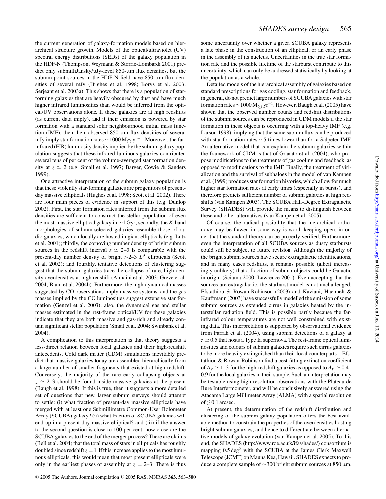the current generation of galaxy-formation models based on hierarchical structure growth. Models of the optical/ultraviolet (UV) spectral energy distributions (SEDs) of the galaxy population in the HDF-N (Thompson, Weymann & Storrie-Lombardi 2001) predict only submilliJansky/µJy-level 850-µm flux densities, but the submm point sources in the HDF-N field have  $850$ - $\mu$ m flux densities of several mJy (Hughes et al. 1998; Borys et al. 2003; Serjeant et al. 2003a). This shows that there is a population of starforming galaxies that are heavily obscured by dust and have much higher infrared luminosities than would be inferred from the optical/UV observations alone. If these galaxies are at high redshifts (as current data imply), and if their emission is powered by star formation with a standard solar neighbourhood initial mass function (IMF), then their observed 850-µm flux densities of several mJy imply star formation rates  $\sim$ 1000 M<sub>○</sub> yr<sup>-1</sup>. Moreover, the farinfrared (FIR) luminosity density implied by the submm galaxy population suggests that these infrared-luminous galaxies contributed several tens of per cent of the volume-averaged star formation density at  $z \approx 2$  (e.g. Smail et al. 1997; Barger, Cowie & Sanders 1999).

One attractive interpretation of the submm galaxy population is that these violently star-forming galaxies are progenitors of presentday massive ellipticals (Hughes et al. 1998; Scott et al. 2002). There are four main pieces of evidence in support of this (e.g. Dunlop 2002). First, the star formation rates inferred from the submm flux densities are sufficient to construct the stellar population of even the most-massive elliptical galaxy in ∼1 Gyr; secondly, the *K*-band morphologies of submm-selected galaxies resemble those of radio galaxies, which locally are hosted in giant ellipticals (e.g. Lutz et al. 2001); thirdly, the comoving number density of bright submm sources in the redshift interval  $z \approx 2-3$  is comparable with the present-day number density of bright  $>2-3$   $L^{\star}$  ellipticals (Scott et al. 2002); and fourthly, tentative detections of clustering suggest that the submm galaxies trace the collapse of rare, high density overdensities at high redshift (Almaini et al. 2003; Greve et al. 2004; Blain et al. 2004b). Furthermore, the high dynamical masses suggested by CO observations imply massive systems, and the gas masses implied by the CO luminosities suggest extensive star formation (Genzel et al. 2003); also, the dynamical gas and stellar masses estimated in the rest-frame optical/UV for these galaxies indicate that they are both massive and gas-rich and already contain significant stellar population (Smail et al. 2004; Swinbank et al. 2004).

A complication to this interpretation is that theory suggests a less-direct relation between local galaxies and their high-redshift antecedents. Cold dark matter (CDM) simulations inevitably predict that massive galaxies today are assembled hierarchically from a large number of smaller fragments that existed at high redshift. Conversely, the majority of the rare early collapsing objects at *z* ≃ 2–3 should be found inside massive galaxies at the present (Baugh et al. 1998). If this is true, then it suggests a more detailed set of questions that new, larger submm surveys should attempt to settle: (i) what fraction of present-day massive ellipticals have merged with at least one Submillimetre Common-User Bolometer Array (SCUBA) galaxy? (ii) what fraction of SCUBA galaxies will end-up in a present-day massive elliptical? and (iii) if the answer to the second question is close to 100 per cent, how close are the SCUBA galaxies to the end of the merger process? There are claims (Bell et al. 2004) that the total mass of stars in ellipticals has roughly doubled since redshift  $z = 1$ . If this increase applies to the most luminous ellipticals, this would mean that most present ellipticals were only in the earliest phases of assembly at  $z = 2-3$ . There is thus

some uncertainty over whether a given SCUBA galaxy represents a late phase in the construction of an elliptical, or an early phase in the assembly of its nucleus. Uncertainties in the true star formation rate and the possible lifetime of the starburst contribute to this uncertainty, which can only be addressed statistically by looking at the population as a whole.

Detailed models of the hierarchical assembly of galaxies based on standard prescriptions for gas cooling, star formation and feedback, in general, do not predict large numbers of SCUBA galaxies with star formation rates ∼1000 M<sub>○</sub> yr<sup>-1</sup>. However, Baugh et al. (2005) have<br>there with the channel worker south and additivitational shown that the observed number counts and redshift distributions of the submm sources can be reproduced in CDM models if the star formation in these objects is occurring with a top-heavy IMF (e.g. Larson 1998), implying that the same submm flux can be produced with star formation rates ∼5 times lower than for a Salpeter IMF. An alternative model that can explain the submm galaxies within the framework of CDM is that of Granato et al. (2004), who propose modifications to the treatments of gas cooling and feedback, as opposed to modifications to the IMF. Finally, the treatment of virialization and the survival of subhaloes in the model of van Kampen et al. (1999) produces star formation histories, which allow for much higher star formation rates at early times (especially in bursts), and therefore predicts sufficient number of submm galaxies at high redshifts (van Kampen 2003). The SCUBA Half-Degree Extragalactic Survey (SHADES) will provide the means to distinguish between these and other alternatives (van Kampen et al. 2005).

Of course, the radical possibility that the hierarchical orthodoxy may be flawed in some way is worth keeping open, in order that the standard theory can be properly verified. Furthermore, even the interpretation of all SCUBA sources as dusty starbursts could still be subject to future revision. Although the majority of the bright submm sources have secure extragalactic identifications, and in many cases redshifts, it remains possible (albeit increasingly unlikely) that a fraction of submm objects could be Galactic in origin (Sciama 2000; Lawrence 2001). Even accepting that the sources are extragalactic, the starburst model is not unchallenged: Efstathiou & Rowan-Robinson (2003) and Kaviani, Haehnelt & Kauffmann (2003) have successfully modelled the emission of some submm sources as extended cirrus in galaxies heated by the interstellar radiation field. This is possible partly because the farinfrared colour temperatures are not well constrained with existing data. This interpretation is supported by observational evidence from Farrah et al. (2004), using submm detections of a galaxy at *z* ≃ 0.5 that hosts a Type Ia supernova. The rest-frame optical luminosities and colours of submm galaxies require such cirrus galaxies to be more heavily extinguished than their local counterparts – Efstathiou & Rowan-Robinson find a best-fitting extinction coefficient of *A*<sup>*V*</sup> ≥ 1–3 for the high-redshift galaxies as opposed to *A*<sup>*V*</sup> ≥ 0.4– 0.9 for the local galaxies in their sample. Such an interpretation may be testable using high-resolution observations with the Plateau de Bure Interfermometer, and will be conclusively answered using the Atacama Large Millimeter Array (ALMA) with a spatial resolution of  $\leq 0.1$  arcsec.

At present, the determination of the redshift distribution and clustering of the submm galaxy population offers the best available method to constrain the properties of the overdensities hosting bright submm galaxies, and hence to differentiate between alternative models of galaxy evolution (van Kampen et al. 2005). To this end, the SHADES (http://www.roe.ac.uk/ifa/shades/) consortium is mapping  $0.5 \text{ deg}^2$  with the SCUBA at the James Clerk Maxwell Telescope (JCMT) on Mauna Kea, Hawaii. SHADES expects to produce a complete sample of ∼300 bright submm sources at 850 µm.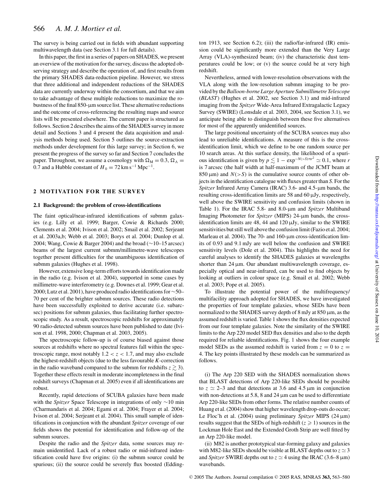The survey is being carried out in fields with abundant supporting multiwavelength data (see Section 3.1 for full details).

In this paper, the first in a series of papers on SHADES, we present an overview of the motivation for the survey, discuss the adopted observing strategy and describe the operation of, and first results from the primary SHADES data-reduction pipeline. However, we stress that three additional and independent reductions of the SHADES data are currently underway within the consortium, and that we aim to take advantage of these multiple reductions to maximize the robustness of the final  $850$ - $\mu$ m source list. These alternative reductions and the outcome of cross-referencing the resulting maps and source lists will be presented elsewhere. The current paper is structured as follows. Section 2 describes the aims of the SHADES survey in more detail and Sections 3 and 4 present the data acquisition and analysis methods being used. Section 5 outlines the source-extraction methods under development for this large survey; in Section 6, we present the progress of the survey so far and Section 7 concludes the paper. Throughout, we assume a cosmology with  $\Omega_M = 0.3$ ,  $\Omega_{\Lambda} =$ 0.7 and a Hubble constant of  $H_0 = 72 \text{ km s}^{-1} \text{ Mpc}^{-1}$ .

# **2 MOTIVATION FOR THE SURVEY**

#### **2.1 Background: the problem of cross-identifications**

The faint optical/near-infrared identifications of submm galaxies (e.g. Lilly et al. 1999; Barger, Cowie & Richards 2000; Clements et al. 2004; Ivison et al. 2002; Smail et al. 2002; Serjeant et al. 2003a,b; Webb et al. 2003; Borys et al. 2004; Dunlop et al. 2004; Wang, Cowie & Barger 2004) and the broad (∼10–15 arcsec) beams of the largest current submm/millimetre-wave telescopes together present difficulties for the unambiguous identification of submm galaxies (Hughes et al. 1998).

However, extensive long-term efforts towards identification made in the radio (e.g. Ivison et al. 2004), supported in some cases by millimetre-wave interferometry (e.g. Downes et al. 1999; Gear et al. 2000; Lutz et al. 2001), have produced radio identifications for∼50– 70 per cent of the brighter submm sources. These radio detections have been successfully exploited to derive accurate (i.e. subarcsec) positions for submm galaxies, thus facilitating further spectroscopic study. As a result, spectroscopic redshifts for approximately 90 radio-detected submm sources have been published to date (Ivison et al. 1998, 2000; Chapman et al. 2003, 2005).

The spectroscopic follow-up is of course biased against those sources at redshifts where no spectral features fall within the spectroscopic range, most notably  $1.2 < z < 1.7$ , and may also exclude the highest-redshift objects (due to the less favourable *K*-correction in the radio waveband compared to the submm for redshifts  $z \gtrsim 3$ ). Together these effects result in moderate incompleteness in the final redshift surveys (Chapman et al. 2005) even if all identifications are robust.

Recently, rapid detections of SCUBA galaxies have been made with the *Spitzer* Space Telescope in integrations of only ∼10 min (Charmandaris et al. 2004; Egami et al. 2004; Frayer et al. 2004; Ivison et al. 2004; Serjeant et al. 2004). This small sample of identifications in conjunction with the abundant *Spitzer* coverage of our fields shows the potential for identification and follow-up of the submm sources.

Despite the radio and the *Spitzer* data, some sources may remain unidentified. Lack of a robust radio or mid-infrared indentification could have five origins: (i) the submm source could be spurious; (ii) the source could be severely flux boosted (Eddington 1913, see Section 6.2); (iii) the radio/far-infrared (IR) emission could be significantly more extended than the Very Large Array (VLA)-synthesized beam; (iv) the characteristic dust temperatures could be low; or (v) the source could be at very high redshift.

Nevertheless, armed with lower-resolution observations with the VLA along with the low-resolution submm imaging to be provided by the*Balloon-borne Large Aperture Submillimetre Telescope* (*BLAST*) (Hughes et al. 2002, see Section 3.1) and mid-infrared imaging from the *Spitzer* Wide-Area Infrared Extragalactic Legacy Survey (SWIRE) (Lonsdale et al. 2003, 2004, see Section 3.1), we anticipate being able to distinguish between these five alternatives for most of the apparently unidentified sources.

The large positional uncertainty of the SCUBA sources may also lead to unreliable identifications. A measure of this is the crossidentification limit, which we define to be one random source per 10 search areas. At this surface density, the likelihood of a spurious identification is given by  $p \le 1 - \exp^{-N(-S)\pi r^2} \simeq 0.1$ , where *r* is 7 arcsec (the half width at half-maximum of the JCMT beam at  $850 \,\mu\text{m}$ ) and  $N(>S)$  is the cumulative source counts of other objects in the identification catalogue with fluxes greater than *S*. Forthe *Spitzer* Infrared Array Camera (IRAC) 3.6- and 4.5-µm bands, the resulting cross-identification limits are 58 and 60 µJy, respectively, well above the SWIRE sensitivity and confusion limits (shown in Table 1). For the IRAC 5.8- and 8.0-µm and *Spitzer* Multiband Imaging Photometer for *Spitzer* (MIPS) 24-µm bands, the crossidentification limits are 48, 44 and  $120 \mu Jy$ , similar to the SWIRE sensitivities but still well above the confusion limit (Fazio et al. 2004; Marleau et al. 2004). The 70- and 160-µm cross-identification limits of 0.93 and 9.1 mJy are well below the confusion and SWIRE sensitivity levels (Dole et al. 2004). This highlights the need for careful analyses to identify the SHADES galaxies at wavelengths shorter than  $24 \mu m$ . Our abundant multiwavelength coverage, especially optical and near-infrared, can be used to find objects by looking at outliers in colour space (e.g. Smail et al. 2002; Webb et al. 2003; Pope et al. 2005).

To illustrate the potential power of the multifrequency/ multifacility approach adopted for SHADES, we have investigated the properties of four template galaxies, whose SEDs have been normalized to the SHADES survey depth of 8 mJy at 850 µm, as the assumed redshift is varied. Table 1 shows the flux densities expected from our four template galaxies. Note the similarity of the SWIRE limits to the Arp 220 model SED flux densities and also to the depth required for reliable identifications. Fig. 1 shows the four example model SEDs as the assumed redshift is varied from  $z = 0$  to  $z =$ 4. The key points illustrated by these models can be summarized as follows.

(i) The Arp 220 SED with the SHADES normalization shows that BLAST detections of Arp 220-like SEDs should be possible to  $z \approx 2-3$  and that detections at 3.6 and 4.5  $\mu$ m in conjunction with non-detections at 5.8, 8 and 24  $\mu$ m can be used to differentiate Arp 220-like SEDs from other forms. The relative number counts of Huang et al. (2004) show that higher wavelength drop-outs do occur; Le Floc'h et al. (2004) using preliminary *Spitzer* MIPS (24 µm) results suggest that the SEDs of high-redshift  $(z \ge 1)$  sources in the Lockman Hole East and the Extended Groth Strip are well fitted by an Arp 220-like model.

(ii) M82 is another prototypical star-forming galaxy and galaxies with M82-like SEDs should be visible at BLAST depths out to  $z \approx 3$ and *Spitzer* SWIRE depths out to  $z \approx 4$  using the IRAC (3.6–8  $\mu$ m) wavebands.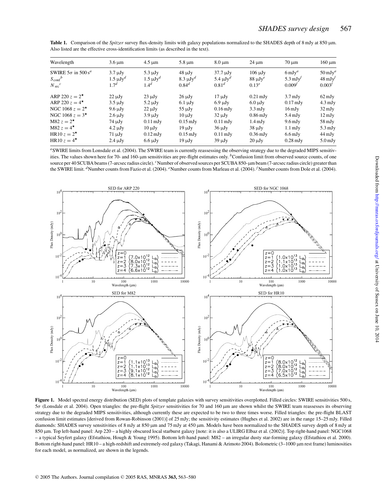| Wavelength                            | $3.6 \mu m$      | $4.5 \mu m$        | $5.8 \mu m$        | $8.0 \mu m$                 | $24 \mu m$            | $70 \mu m$           | $160 \mu m$         |
|---------------------------------------|------------------|--------------------|--------------------|-----------------------------|-----------------------|----------------------|---------------------|
| SWIRE $5\sigma$ in 500 s <sup>a</sup> | $3.7 \mu Jv$     | $5.3 \mu Jv$       | $48 \mu Jy$        | $37.7 \text{ }\mu\text{Jy}$ | $106 \mu Jy$          | $6 \,\mathrm{mJy}^a$ | $50 \mathrm{mJy}^a$ |
| $S_{\text{conf}}^b$                   | $1.5 \mu Jy^d$   | $1.5 \mu Jy^d$     | $8.3 \mu Jy^d$     | 5.4 $\mu$ J $v^d$           | $88 \mu Jy^e$         | 5.3 mJ $v^f$         | $48 \text{ mJy}$    |
| $N_{\rm src}^c$                       | 1.7 <sup>d</sup> | $1.4^{d}$          | $0.84^{d}$         | $0.81^{d}$                  | $0.13^{e}$            | $0.009^{t}$          | $0.003^{t}$         |
| ARP 220 $z = 2^*$                     | $22 \mu Jy$      | $23 \mu Jy$        | $26 \mu Jy$        | $17 \mu Jy$                 | $0.21 \text{ mJy}$    | $3.7 \text{ mJy}$    | $62 \,\mathrm{mJy}$ |
| ARP 220 $z = 4^{\star}$               | $3.5 \mu Jy$     | $5.2 \mu Jv$       | $6.1 \mu Jy$       | $6.9 \mu Jy$                | $6.0 \mu Jy$          | $0.17 \text{ mJy}$   | $4.3 \text{ mJy}$   |
| NGC 1068 $z = 2^*$                    | $9.6 \mu Jy$     | $22 \mu Jy$        | $55 \mu Jy$        | $0.16 \,\mathrm{mJy}$       | $3.3 \text{ mJy}$     | $16 \,\mathrm{mJy}$  | $32 \,\mathrm{mJy}$ |
| NGC 1068 $z = 3^*$                    | $2.6 \mu Jy$     | $3.9 \mu Jv$       | $10 \mu Jv$        | $32 \mu Jy$                 | $0.86 \,\mathrm{mJy}$ | $5.4 \text{ mJy}$    | $12 \,\mathrm{mJy}$ |
| M82 $z = 2^{\star}$                   | $74 \mu Jy$      | $0.11 \text{ mJy}$ | $0.15 \text{ mJy}$ | $0.11 \text{ mJy}$          | $1.4 \text{ mJy}$     | $9.6 \,\mathrm{mJy}$ | $58 \,\mathrm{mJy}$ |
| M82 $z = 4^{\star}$                   | $4.2 \mu Jy$     | $10 \mu Jv$        | $19 \mu Jv$        | $36 \mu Jy$                 | $38 \mu Jy$           | $1.1 \text{ mJy}$    | $5.3 \text{ mJy}$   |
| HR10 $z = 2^{\star}$                  | $71 \mu Jy$      | $0.12 \text{ mJy}$ | $0.15 \text{ mJy}$ | $0.11 \text{ mJy}$          | $0.36 \text{ mJy}$    | $6.6 \,\mathrm{mJy}$ | $44 \,\mathrm{mJy}$ |
| HR10 $z = 4^{\star}$                  | $2.4 \mu Jy$     | $6.6 \mu Jy$       | $19 \mu Jv$        | $39 \mu Jy$                 | $20 \mu Jv$           | $0.28 \text{ mJy}$   | $5.0$ mJy           |

**Table 1.** Comparison of the *Spitzer* survey flux-density limits with galaxy populations normalized to the SHADES depth of 8 mJy at 850 µm. Also listed are the effective cross-identification limits (as described in the text).

*<sup>a</sup>*SWIRE limits from Lonsdale et al. (2004). The SWIRE team is currently reassessing the observing strategy due to the degraded MIPS sensitivities. The values shown here for 70- and 160-µm sensitivities are pre-flight estimates only. <sup>*b*</sup>Confusion limit from observed source counts, of one source per 40 SCUBA beams (7-arcsec radius circle). <sup>*c*</sup>Number of observed sources per SCUBA 850-µm beam (7-arcsec radius circle) greater than the SWIRE limit. <sup>*d*</sup>Number counts from Fazio et al. (2004). <sup>*e*</sup>Number counts from Marleau et al. (2004). <sup>*f*</sup>Number counts from Dole et al. (2004).



Figure 1. Model spectral energy distribution (SED) plots of template galaxies with survey sensitivities overplotted. Filled circles: SWIRE sensitivities 500 s, 5σ (Lonsdale et al. 2004). Open triangles: the pre-flight *Spitzer* sensitivities for 70 and 160 µm are shown whilst the SWIRE team reassesses its observing strategy due to the degraded MIPS sensitivities, although currently these are expected to be two to three times worse. Filled triangles: the pre-flight BLAST confusion limit estimates [derived from Rowan-Robinson (2001)] of 25 mJy; the sensitivity estimates (Hughes et al. 2002) are in the range 15–25 mJy. Filled diamonds: SHADES survey sensitivities of 8 mJy at 850 µm and 75 mJy at 450 µm. Models have been normalized to the SHADES survey depth of 8 mJy at 850 µm. Top left-hand panel: Arp 220 – a highly obscured local starburst galaxy [note: it is also a ULIRG Elbaz et al. (2002)]. Top right-hand panel: NGC1068 – a typical Seyfert galaxy (Efstathiou, Hough & Young 1995). Bottom left-hand panel: M82 – an irregular dusty star-forming galaxy (Efstathiou et al. 2000). Bottom right-hand panel: HR10 – a high-redshift and extremely-red galaxy (Takagi, Hanami & Arimoto 2004). Bolometric (3-1000 µm rest frame) luminosities for each model, as normalized, are shown in the legends.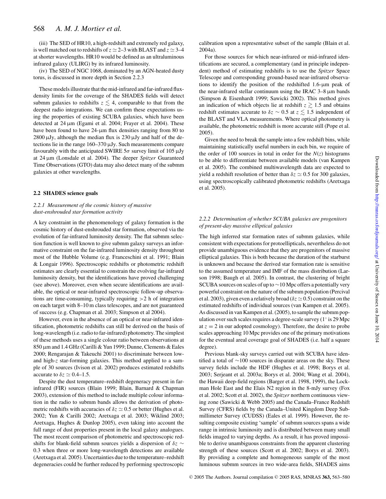(iii) The SED of HR10, a high-redshift and extremely red galaxy, is well matched out to redshifts of  $z \approx 2-3$  with BLAST and  $z \approx 3-4$ at shorter wavelengths. HR10 would be defined as an ultraluminous infrared galaxy (ULIRG) by its infrared luminosity.

(iv) The SED of NGC 1068, dominated by an AGN-heated dusty torus, is discussed in more depth in Section 2.2.3

These models illustrate that the mid-infrared and far-infrared fluxdensity limits for the coverage of the SHADES fields will detect submm galaxies to redshifts  $z \lesssim 4$ , comparable to that from the deepest radio integrations. We can confirm these expectations using the properties of existing SCUBA galaxies, which have been detected at 24  $\mu$ m (Egami et al. 2004; Frayer et al. 2004). These have been found to have 24-µm flux densities ranging from 80 to  $2800 \mu Jy$ , although the median flux is  $230 \mu Jy$  and half of the detections lie in the range 160–370 µJy. Such measurements compare favourably with the anticipated SWIRE  $5\sigma$  survey limit of 105  $\mu$ Jy at 24 µm (Lonsdale et al. 2004). The deeper *Spitzer* Guaranteed Time Observations (GTO) data may also detect many of the submm galaxies at other wavelengths.

#### **2.2 SHADES science goals**

# *2.2.1 Measurement of the cosmic history of massive dust-enshrouded star formation activity*

A key constraint in the phenomenology of galaxy formation is the cosmic history of dust-enshrouded star formation, observed via the evolution of far-infrared luminosity density. The flat submm selection function is well known to give submm galaxy surveys an informative constraint on the far-infrared luminosity density throughout most of the Hubble Volume (e.g. Franceschini et al. 1991; Blain & Longair 1996). Spectroscopic redshifts or photometric redshift estimates are clearly essential to constrain the evolving far-infrared luminosity density, but the identifications have proved challenging (see above). Moreover, even when secure identifications are available, the optical or near-infrared spectroscopic follow-up observations are time-consuming, typically requiring >2 h of integration on each target with 8–10 m class telescopes, and are not guaranteed of success (e.g. Chapman et al. 2003; Simpson et al 2004).

However, even in the absence of an optical or near-infrared identification, photometric redshifts can still be derived on the basis of long-wavelength (i.e. radio to far-infrared) photometry. The simplest of these methods uses a single colour ratio between observations at 850 µm and 1.4 GHz (Carilli & Yun 1999; Dunne, Clements & Eales 2000; Rengarajan & Takeuchi 2001) to discriminate between lowand high-*z* star-forming galaxies. This method applied to a sample of 30 sources (Ivison et al. 2002) produces estimated redshifts accurate to  $\delta z \simeq 0.4$ –1.5.

Despite the dust temperature–redshift degeneracy present in farinfrared (FIR) sources (Blain 1999; Blain, Barnard & Chapman 2003), extension of this method to include multiple colour information in the radio to submm bands allows the derivation of photometric redshifts with accuracies of  $\delta z \simeq 0.5$  or better (Hughes et al. 2002; Yun & Carilli 2002; Aretxaga et al. 2003; Wiklind 2003; Aretxaga, Hughes & Dunlop 2005), even taking into account the full range of dust properties present in the local galaxy analogues. The most recent comparison of photometric and spectroscopic redshifts for blank-field submm sources yields a dispersion of δ*z* ∼ 0.3 when three or more long-wavelength detections are available (Aretxaga et al. 2005). Uncertainties due to the temperature–redshift degeneracies could be further reduced by performing spectroscopic

calibration upon a representative subset of the sample (Blain et al. 2004a).

For those sources for which near-infrared or mid-infrared identifications are secured, a complementary (and in principle independent) method of estimating redshifts is to use the *Spitzer* Space Telescope and corresponding ground-based near-infrared observations to identify the position of the redshifted 1.6-µm peak of the near-infrared stellar continuum using the IRAC 3–8 µm bands (Simpson & Eisenhardt 1999; Sawicki 2002). This method gives an indication of which objects lie at redshift  $z \gtrsim 1.5$  and obtains redshift estimates accurate to  $\delta z \sim 0.5$  at  $z \lesssim 1.5$  independent of the BLAST and VLA measurements. Where optical photometry is available, the photometric redshift is more accurate still (Pope et al. 2005).

Given the need to break the sample into a few redshift bins, while maintaining statistically useful numbers in each bin, we require of the order of 100 sources in total in order for the  $N(z)$  histograms to be able to differentiate between available models (van Kampen et al. 2005). The combined multiwavelength data are expected to yield a redshift resolution of better than  $\delta z \simeq 0.5$  for 300 galaxies, using spectroscopically calibrated photometric redshifts (Aretxaga et al. 2005).

## *2.2.2 Determination of whether SCUBA galaxies are progenitors of present-day massive elliptical galaxies*

The high inferred star formation rates of submm galaxies, while consistent with expectations for protoellipticals, nevertheless do not provide unambiguous evidence that they are progenitors of massive elliptical galaxies. This is both because the duration of the starburst is unknown and because the derived star formation rate is sensitive to the assumed temperature and IMF of the mass distribution (Larson 1998; Baugh et al. 2005). In contrast, the clustering of bright SCUBA sources on scales of up to ∼10 Mpc offers a potentially very powerful constraint on the nature of the submm population (Percival et al. 2003), given even a relatively broad ( $\delta z \simeq 0.5$ ) constraint on the estimated redshifts of individual sources (van Kampen et al. 2005). As discussed in van Kampen et al. (2005), to sample the submm population over such scales requires a degree-scale survey (1◦ is 29 Mpc at  $z = 2$  in our adopted cosmology). Therefore, the desire to probe scales approaching 10 Mpc provides one of the primary motivations for the eventual areal coverage goal of SHADES (i.e. half a square degree).

Previous blank-sky surveys carried out with SCUBA have identified a total of ∼100 sources in disparate areas on the sky. These survey fields include the HDF (Hughes et al. 1998; Borys et al. 2003; Serjeant et al. 2003a; Borys et al. 2004; Wang et al. 2004), the Hawaii deep-field regions (Barger et al. 1998, 1999), the Lockman Hole East and the Elais N2 region in the 8-mJy survey (Fox et al. 2002; Scott et al. 2002), the *Spitzer* northern continuous viewing zone (Sawicki & Webb 2005) and the Canada–France Redshift Survey (CFRS) fields by the Canada–United Kingdom Deep Submillimeter Survey (CUDSS) (Eales et al. 1999). However, the resulting composite existing 'sample' of submm sources spans a wide range in intrinsic luminosity and is distributed between many small fields imaged to varying depths. As a result, it has proved impossible to derive unambiguous constraints from the apparent clustering strength of these sources (Scott et al. 2002; Borys et al. 2003). By providing a complete and homogeneous sample of the most luminous submm sources in two wide-area fields, SHADES aims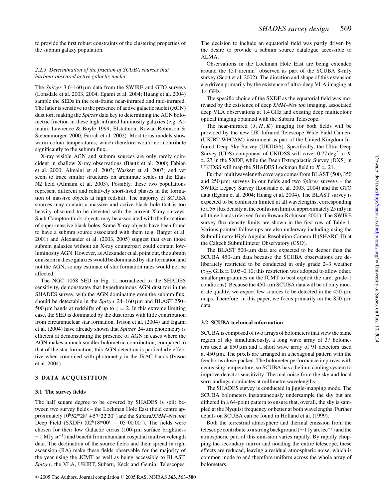to provide the first robust constraints of the clustering properties of the submm galaxy population.

# *2.2.3 Determination of the fraction of SCUBA sources that harbour obscured active galactic nuclei*

The *Spitzer* 3.6–160 µm data from the SWIRE and GTO surveys (Lonsdale et al. 2003, 2004; Egami et al. 2004; Huang et al. 2004) sample the SEDs in the rest-frame near-infrared and mid-infrared. The latter is sensitive to the presence of active galactic nuclei (AGN) dust tori, making the *Spitzer* data key to determining the AGN bolometric fraction in these high-infrared luminosity galaxies (e.g. Almaini, Lawrence & Boyle 1999; Efstathiou, Rowan-Robinson & Siebenmorgen 2000; Farrah et al. 2002). Most torus models show warm colour temperatures, which therefore would not contribute significantly to the submm flux.

X-ray visible AGN and submm sources are only rarely coincident in shallow X-ray observations (Bautz et al. 2000; Fabian et al. 2000; Almaini et al. 2003; Waskett et al. 2003) and yet seem to trace similar structures on arcminute scales in the Elais N2 field (Almaini et al. 2003). Possibly, these two populations represent different and relatively short-lived phases in the formation of massive objects at high redshift. The majority of SCUBA sources may contain a massive and active black hole that is too heavily obscured to be detected with the current X-ray surveys. Such Compton-thick objects may be associated with the formation of super-massive black holes. Some X-ray objects have been found to have a submm source associated with them (e.g. Barger et al. 2001) and Alexander et al. (2003, 2005) suggest that even those submm galaxies without an X-ray counterpart could contain lowluminosity AGN. However, as Alexander et al. point out, the submm emission in these galaxies would be dominated by star formation and not the AGN, so any estimate of star formation rates would not be affected.

The NGC 1068 SED in Fig. 1, normalized to the SHADES sensitivity, demonstrates that hyperluminous AGN dust tori in the SHADES survey, with the AGN dominating even the submm flux, should be detectable in the *Spitzer* 24–160 µm and BLAST 250– 500  $\mu$ m bands at redshifts of up to  $z = 2$ . In this extreme limiting case, the SED is dominated by the dust torus with little contribution from circumnuclear star formation. Ivison et al. (2004) and Egami et al. (2004) have already shown that *Spitzer* 24-µm photometry is efficient at demonstrating the presence of AGN in cases where the AGN makes a much smaller bolometric contribution, compared to that of the star formation; this AGN detection is particularly effective when combined with photometry in the IRAC bands (Ivison et al. 2004).

# **3 DATA ACQUISITION**

#### **3.1 The survey fields**

The half square degree to be covered by SHADES is split between two survey fields – the Lockman Hole East (field centre approximately 10<sup>h</sup>52<sup>m</sup>28<sup>s</sup> <sup>+</sup>57◦22′20′′) and the Subaru/*XMM–Newton* Deep Field (SXDF)  $(02^h18^m00^s - 05°00'00'')$ . The fields were chosen for their low Galactic cirrus (100-µm surface brightness  $\sim$ 1 MJy sr<sup>−1</sup>) and benefit from abundant cospatial multiwavelength data. The declination of the source fields and their spread in right ascension (RA) make these fields observable for the majority of the year using the JCMT as well as being accessible to BLAST, *Spitzer*, the VLA, UKIRT, Subaru, Keck and Gemini Telescopes.

The decision to include an equatorial field was partly driven by the desire to provide a submm source catalogue accessible to ALMA.

Observations in the Lockman Hole East are being extended around the 151 arcmin<sup>2</sup> observed as part of the SCUBA 8-mJy survey (Scott et al. 2002). The direction and shape of this extension are driven primarily by the existence of ultra-deep VLA imaging at 1.4 GHz.

The specific choice of the SXDF as the equatorial field was motivated by the existence of deep *XMM–Newton* imaging, associated deep VLA observations at 1.4 GHz and existing deep multicolour optical imaging obtained with the Subaru Telescope.

The near-infrared  $(J, H, K)$  imaging for both fields will be provided by the new UK Infrared Telescope Wide Field Camera (UKIRT WFCAM) instrument as part of the United Kingdom Infrared Deep Sky Survey (UKIDSS). Specifically, the Ultra Deep Survey (UDS) component of UKIDSS will cover 0.77 deg<sup>2</sup> to K  $\simeq$  23 in the SXDF, while the Deep Extragalactic Survey (DXS) in UKIDSS will map the SHADES Lockman field to  $K \simeq 21$ .

Further multiwavelength coverage comes from BLAST (500, 350 and  $250 \,\mu m$ ) surveys in our fields and two *Spitzer* surveys – the SWIRE Legacy Survey (Lonsdale et al. 2003, 2004) and the GTO data (Egami et al. 2004; Huang et al. 2004). The BLAST survey is expected to be confusion limited at all wavelengths, corresponding to a  $5\sigma$  flux density at the confusion limit of approximately 25 mJy in all three bands (derived from Rowan-Robinson 2001). The SWIRE survey flux density limits are shown in the first row of Table 1. Various pointed follow-ups are also underway including using the Submillimetre High Angular Resolution Camera II (SHARC-II) at the Caltech Submillimeter Observatory (CSO).

The BLAST 500-µm data are expected to be deeper than the SCUBA 450-µm data because the SCUBA observations are deliberately restricted to be conducted in only grade 2–3 weather  $(\tau_{225}$  GHz  $\simeq$  0.05–0.10; this restriction was adopted to allow other, smaller programmes on the JCMT to best exploit the rare, grade-1 conditions). Because the 450-µm SCUBA data will be of only moderate quality, we expect few sources to be detected in the 450-µm maps. Therefore, in this paper, we focus primarily on the 850-µm data.

#### **3.2 SCUBA technical information**

SCUBA is composed of two arrays of bolometers that view the same region of sky simultaneously, a long wave array of 37 bolometers used at 850 µm and a short wave array of 91 detectors used at  $450 \mu m$ . The pixels are arranged in a hexagonal pattern with the feedhorns close-packed. The bolometer performance improves with decreasing temperature, so SCUBA has a helium cooling system to improve detector sensitivity. Thermal noise from the sky and local surroundings dominates at millimetre wavelengths.

The SHADES survey is conducted in jiggle-mapping mode. The SCUBA bolometers instantaneously undersample the sky but are dithered in a 64-point pattern to ensure that, overall, the sky is sampled at the Nyquist frequency or better at both wavelengths. Further details on SCUBA can be found in Holland et al. (1999).

Both the terrestrial atmosphere and thermal emission from the telescope contribute to a strong background ( $\sim$ 1 Jy arcsec<sup>-2</sup>) and the atmospheric part of this emission varies rapidly. By rapidly chopping the secondary mirror and nodding the entire telescope, these effects are reduced, leaving a residual atmospheric noise, which is common mode to and therefore uniform across the whole array of bolometers.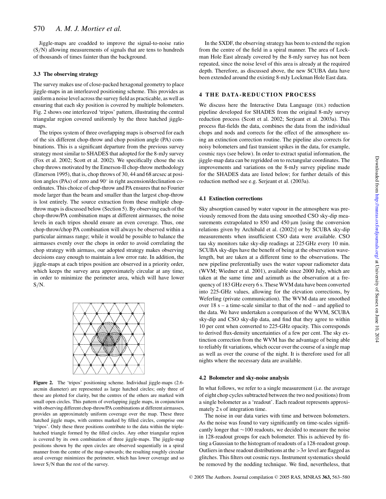Jiggle-maps are coadded to improve the signal-to-noise ratio (S/N) allowing measurements of signals that are tens to hundreds of thousands of times fainter than the background.

#### **3.3 The observing strategy**

The survey makes use of close-packed hexagonal geometry to place jiggle-maps in an interleaved positioning scheme. This provides as uniform a noise level across the survey field as practicable, as well as ensuring that each sky position is covered by multiple bolometers. Fig. 2 shows one interleaved 'tripos' pattern, illustrating the central triangular region covered uniformly by the three hatched jigglemaps.

The tripos system of three overlapping maps is observed for each of the six different chop-throw and chop position angle (PA) combinations. This is a significant departure from the previous survey strategy most similar to SHADES that adopted for the 8-mJy survey (Fox et al. 2002; Scott et al. 2002). We specifically chose the six chop throws motivated by the Emerson-II chop-throw methodology (Emerson 1995), that is, chop throws of 30, 44 and 68 arcsec at position angles (PAs) of zero and 90◦ in right ascension/declination coordinates. This choice of chop-throw and PA ensures that no Fourier mode larger than the beam and smaller than the largest chop-throw is lost entirely. The source extraction from these multiple chopthrow maps is discussed below (Section 5). By observing each of the chop-throw/PA combination maps at different airmasses, the noise levels in each tripos should ensure an even coverage. Thus, one chop-throw/chop PA combination will always be observed within a particular airmass range; while it would be possible to balance the airmasses evenly over the chops in order to avoid correlating the chop strategy with airmass, our adopted strategy makes observing decisions easy enough to maintain a low error rate. In addition, the jiggle-maps at each tripos position are observed in a priority order, which keeps the survey area approximately circular at any time, in order to minimize the perimeter area, which will have lower  $S/N$ .



**Figure 2.** The 'tripos' positioning scheme. Individual jiggle-maps (2.6 arcmin diameter) are represented as large hatched circles; only three of these are plotted for clarity, but the centres of the others are marked with small open circles. This pattern of overlapping jiggle maps, in conjunction with observing different chop-throw/PA combinations at different airmasses, provides an approximately uniform coverage over the map. These three hatched jiggle maps, with centres marked by filled circles, comprise one 'tripos'. Only these three positions contribute to the data within the triplehatched triangle formed by the filled circles. Any other triangular region is covered by its own combination of three jiggle-maps. The jiggle-map positions shown by the open circles are observed sequentially in a spiral manner from the centre of the map outwards; the resulting roughly circular areal coverage minimizes the perimeter, which has lower coverage and so lower S/N than the rest of the survey.

In the SXDF, the observing strategy has been to extend the region from the centre of the field in a spiral manner. The area of Lockman Hole East already covered by the 8-mJy survey has not been repeated, since the noise level of this area is already at the required depth. Therefore, as discussed above, the new SCUBA data have been extended around the existing 8-mJy Lockman Hole East data.

# **4 THE DATA-REDUCTION PROCESS**

We discuss here the Interactive Data Language (IDL) reduction pipeline developed for SHADES from the original 8-mJy survey reduction process (Scott et al. 2002; Serjeant et al. 2003a). This process flat-fields the data, combines the data from the individual chops and nods and corrects for the effect of the atmosphere using an extinction correction routine. The pipeline also corrects for noisy bolometers and fast transient spikes in the data, for example, cosmic rays (see below). In order to extract spatial information, the jiggle-map data can be regridded on to rectangular coordinates. The improvements and variations on the 8-mJy survey pipeline made for the SHADES data are listed below; for further details of this reduction method see e.g. Serjeant et al. (2003a).

#### **4.1 Extinction corrections**

Sky absorption caused by water vapour in the atmosphere was previously removed from the data using smoothed CSO sky-dip measurements extrapolated to  $850$  and  $450 \,\mu m$  [using the conversion relations given by Archibald et al. (2002)] or by SCUBA sky-dip measurements when insufficient CSO data were available. CSO tau sky monitors take sky-dip readings at 225 GHz every 10 min. SCUBA sky-dips have the benefit of being at the observation wavelength, but are taken at a different time to the observations. The new pipeline preferentially uses the water vapour radiometer data (WVM; Wiedner et al. 2001), available since 2000 July, which are taken at the same time and azimuth as the observation at a frequency of 183 GHz every 6 s. These WVM data have been converted into 225-GHz values, allowing for the elevation corrections, by Weferling (private communication). The WVM data are smoothed over  $18 s - a$  time-scale similar to that of the nod – and applied to the data. We have undertaken a comparison of the WVM, SCUBA sky-dip and CSO sky-dip data, and find that they agree to within 10 per cent when converted to 225-GHz opacity. This corresponds to derived flux-density uncertainties of a few per cent. The sky extinction correction from the WVM has the advantage of being able to reliably fit variations, which occur over the course of a single map as well as over the course of the night. It is therefore used for all nights where the necessary data are available.

#### **4.2 Bolometer and sky-noise analysis**

In what follows, we refer to a single measurement (i.e. the average of eight chop cycles subtracted between the two nod positions) from a single bolometer as a 'readout'. Each readout represents approximately 2 s of integration time.

The noise in our data varies with time and between bolometers. As the noise was found to vary significantly on time-scales significantly longer that ∼100 readouts, we decided to measure the noise in 128-readout groups for each bolometer. This is achieved by fitting a Gaussian to the histogram of readouts of a 128-readout group. Outliers in these readout distributions at the  $>3\sigma$  level are flagged as glitches. This filters out cosmic rays. Instrument systematics should be removed by the nodding technique. We find, nevertheless, that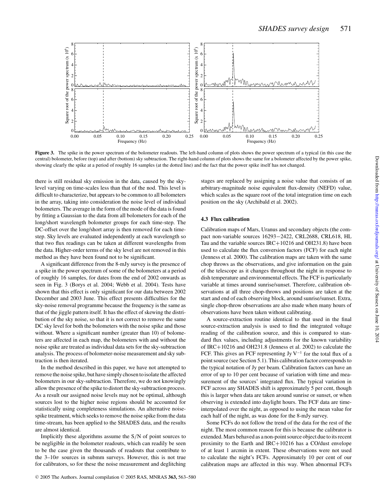

**Figure 3.** The spike in the power spectrum of the bolometer readouts. The left-hand column of plots shows the power spectrum of a typical (in this case the central) bolometer, before (top) and after (bottom) sky subtraction. The right-hand column of plots shows the same for a bolometer affected by the power spike, showing clearly the spike at a period of roughly 16 samples (at the dotted line) and the fact that the power spike itself has not changed.

there is still residual sky emission in the data, caused by the skylevel varying on time-scales less than that of the nod. This level is difficult to characterize, but appears to be common to all bolometers in the array, taking into consideration the noise level of individual bolometers. The average in the form of the mode of the data is found by fitting a Gaussian to the data from all bolometers for each of the long/short wavelength bolometer groups for each time-step. The DC-offset over the long/short array is then removed for each timestep. Sky levels are evaluated independently at each wavelength so that two flux readings can be taken at different wavelengths from the data. Higher-order terms of the sky level are not removed in this method as they have been found not to be significant.

A significant difference from the 8-mJy survey is the presence of a spike in the power spectrum of some of the bolometers at a period of roughly 16 samples, for dates from the end of 2002 onwards as seen in Fig. 3 (Borys et al. 2004; Webb et al. 2004). Tests have shown that this effect is only significant for our data between 2002 December and 2003 June. This effect presents difficulties for the sky-noise removal programme because the frequency is the same as that of the jiggle pattern itself. It has the effect of skewing the distribution of the sky noise, so that it is not correct to remove the same DC sky level for both the bolometers with the noise spike and those without. Where a significant number (greater than 10) of bolometers are affected in each map, the bolometers with and without the noise spike are treated as individual data sets for the sky-subtraction analysis. The process of bolometer-noise measurement and sky subtraction is then iterated.

In the method described in this paper, we have not attempted to remove the noise spike, but have simply chosen to isolate the affected bolometers in our sky-subtraction. Therefore, we do not knowingly allow the presence of the spike to distort the sky-subtraction process. As a result our assigned noise levels may not be optimal, although sources lost to the higher noise regions should be accounted for statistically using completeness simulations. An alternative noisespike treatment, which seeks to remove the noise spike from the data time-stream, has been applied to the SHADES data, and the results are almost identical.

Implicitly these algorithms assume the S/N of point sources to be negligible in the bolometer readouts, which can readily be seen to be the case given the thousands of readouts that contribute to the  $3-10\sigma$  sources in submm surveys. However, this is not true for calibrators, so for these the noise measurement and deglitching

stages are replaced by assigning a noise value that consists of an arbitrary-magnitude noise equivalent flux-density (NEFD) value, which scales as the square root of the total integration time on each position on the sky (Archibald et al. 2002).

#### **4.3 Flux calibration**

Calibration maps of Mars, Uranus and secondary objects (the compact non-variable sources 16293−2422, CRL2688, CRL618, HL Tau and the variable sources IRC+10216 and OH231.8) have been used to calculate the flux conversion factors (FCF) for each night (Jenness et al. 2000). The calibration maps are taken with the same chop throws as the observations, and give information on the gain of the telescope as it changes throughout the night in response to dish temperature and environmental effects. The FCF is particularly variable at times around sunrise/sunset. Therefore, calibration observations at all three chop-throws and positions are taken at the start and end of each observing block, around sunrise/sunset. Extra, single chop-throw observations are also made when many hours of observations have been taken without calibrating.

A source-extraction routine identical to that used in the final source-extraction analysis is used to find the integrated voltage reading of the calibration source, and this is compared to standard flux values, including adjustments for the known variability of IRC+10216 and OH231.8 (Jenness et al. 2002) to calculate the FCF. This gives an FCF representing Jy  $V^{-1}$  for the total flux of a point source (see Section 5.1). This calibration factor corresponds to the typical notation of Jy per beam. Calibration factors can have an error of up to 10 per cent because of variation with time and measurement of the sources' integrated flux. The typical variation in FCF across any SHADES shift is approximately 5 per cent, though this is larger when data are taken around sunrise or sunset, or when observing is extended into daylight hours. The FCF data are timeinterpolated over the night, as opposed to using the mean value for each half of the night, as was done for the 8-mJy survey.

Some FCFs do not follow the trend of the data for the rest of the night. The most common reason for this is because the calibrator is extended. Mars behaved as a non-point source object due to its recent proximity to the Earth and IRC+10216 has a CO/dust envelope of at least 1 arcmin in extent. These observations were not used to calculate the night's FCFs. Approximately 10 per cent of our calibration maps are affected in this way. When abnormal FCFs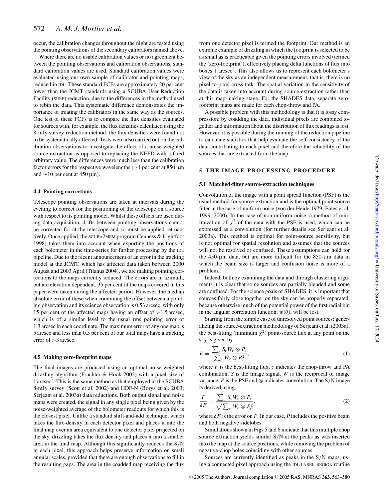occur, the calibration changes throughout the night are tested using the pointing observations of the secondary calibrators named above.

Where there are no usable calibration values or no agreement between the pointing observations and calibration observations, standard calibration values are used. Standard calibration values were evaluated using our own sample of calibrator and pointing maps, reduced in IDL. These standard FCFs are approximately 20 per cent lower than the JCMT standards using a SCUBA User Reduction Facility (SURF) reduction, due to the differences in the method used to rebin the data. This systematic difference demonstrates the importance of treating the calibrators in the same way as the sources. One test of these FCFs is to compare the flux densities evaluated for sources with, for example, the flux densities calculated using the 8-mJy survey-reduction method; the flux densities were found not to be systematically affected. Tests were also carried out on the calibration observations to investigate the effect of a noise-weighted source-extraction as opposed to replacing the NEFD with a fixed arbitrary value. The differences were much less than the calibration factor errors for the respective wavelengths (∼1 per cent at 850 µm and  $\sim$ 10 per cent at 450 µm).

#### **4.4 Pointing corrections**

Telescope pointing observations are taken at intervals during the evening to correct for the positioning of the telescope on a source with respect to its pointing model. Whilst these offsets are used during data acquisition, drifts between pointing observations cannot be corrected for at the telescope and so must be applied retroactively. Once applied, the SCUBA2MEM program (Jenness & Lightfoot 1998) takes them into account when exporting the positions of each bolometer in the time-series for further processing by the IDL pipeline. Due to the recent announcement of an error in the tracking model at the JCMT, which has affected data taken between 2000 August and 2003 April (Tilanus 2004), we are making pointing corrections to the maps currently reduced. The errors are in azimuth, but are elevation dependent. 35 per cent of the maps covered in this paper were taken during the affected period. However, the median absolute error of these when combining the offset between a pointing observation and its science observation is 0.53 arcsec, with only 15 per cent of the affected maps having an offset of >1.5 arcsec, which is of a similar level to the usual rms pointing error of 1.3 arcsec in each coordinate. The maximum error of any one map is 5 arcsec and less than 0.5 per cent of our total maps have a tracking error of >3 arcsec.

#### **4.5 Making zero-footprint maps**

The final images are produced using an optimal noise-weighted drizzling algorithm (Fruchter & Hook 2002) with a pixel size of 1 arcsec<sup>2</sup> . This is the same method as that employed in the SCUBA 8-mJy survey (Scott et al. 2002) and HDF-N (Borys et al. 2003; Serjeant et al. 2003a) data reductions. Both output signal and noise maps were created, the signal in any single pixel being given by the noise-weighted average of the bolometer readouts for which this is the closest pixel. Unlike a standard shift-and-add technique, which takes the flux-density in each detector pixel and places it into the final map over an area equivalent to one detector pixel projected on the sky, drizzling takes the flux density and places it into a smaller area in the final map. Although this significantly reduces the S/N in each pixel, this approach helps preserve information on small angular scales, provided that there are enough observations to fill in the resulting gaps. The area in the coadded map receiving the flux

from one detector pixel is termed the footprint. Our method is an extreme example of drizzling in which the footprint is selected to be as small as is practicable given the pointing errors involved (termed the 'zero-footprint'), effectively placing delta functions of flux into boxes 1 arcsec<sup>2</sup>. This also allows us to represent each bolometer's view of the sky as an independent measurement, that is, there is no pixel-to-pixel cross-talk. The spatial variation in the sensitivity of the data is taken into account during source-extraction rather than at this map-making stage. For the SHADES data, separate zerofootprint maps are made for each chop-throw and PA.

A possible problem with this methodology is that it is lossy compression: by coadding the data, individual pixels are combined together and information about the distribution of flux readings is lost. However, it is possible during the running of the reduction pipeline to calculate statistics that help evaluate the self-consistency of the data contributing to each pixel and therefore the reliability of the sources that are extracted from the map.

#### **5 THE IMAGE-PROCESSING PROCEDURE**

#### **5.1 Matched-filter source-extraction techniques**

Convolution of the image with a point spread function (PSF) is the usual method for source-extraction and is the optimal point source filter in the case of uniform noise (von der Heide 1979; Eales et al. 1999, 2000). In the case of non-uniform noise, a method of minimization of  $\chi^2$  of the data with the PSF is used, which can be expressed as a convolution (for further details see Serjeant et al. 2003a). This method is optimal for point-source sensitivity, but is not optimal for spatial resolution and assumes that the sources will not be resolved or confused. These assumptions can hold for the 450- $\mu$ m data, but are more difficult for the 850- $\mu$ m data in which the beam size is larger and confusion noise is more of a problem.

Indeed, both by examining the data and through clustering arguments it is clear that some sources are partially blended and some are confused. For the science goals of SHADES, it is important that sources fairly close together on the sky can be properly separated, because otherwise much of the potential power of the first radial bin in the angular correlation function,  $w(\theta)$ , will be lost.

Starting from the simple case of unresolved point sources: generalizing the source-extraction methodology of Serjeant et al. (2003a), the best-fitting (minimum  $\chi^2$ ) point-source flux at any point on the sky is given by

$$
F = \frac{\sum_{c} S_c W_c \otimes P_c}{\sum_{c} W_c \otimes P_c^2},\tag{1}
$$

where  $F$  is the best-fitting flux,  $c$  indicates the chop-throw and PA combination, *S* is the image signal, *W* is the reciprocal of image variance,  $P$  is the PSF and  $\otimes$  indicates convolution. The S/N image is derived using

$$
\frac{F}{\delta F} = \frac{\sum_{c} S_c W_c \otimes P_c}{\sqrt{\sum_{c} W_c \otimes P_c^2}},\tag{2}
$$

where  $\delta F$  is the error on *F*. In our case, *P* includes the positive beam and both negative sidelobes.

Simulations shown in Figs 5 and 6 indicate that this multiple chop source extraction yields similar S/N at the peaks as was inserted into the map at the source positions, while removing the problem of negative-chop holes coinciding with other sources.

Sources are currently identified as peaks in the S/N maps, using a connected pixel approach using the IDL LABEL REGION routine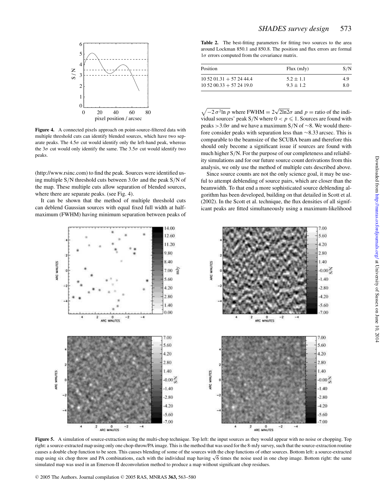

**Figure 4.** A connected pixels approach on point-source-filtered data with multiple threshold cuts can identify blended sources, which have two separate peaks. The  $4.5\sigma$  cut would identify only the left-hand peak, whereas the  $3\sigma$  cut would only identify the same. The  $3.5\sigma$  cut would identify two peaks.

(http://www.rsinc.com) to find the peak. Sources were identified using multiple S/N threshold cuts between  $3.0\sigma$  and the peak S/N of the map. These multiple cuts allow separation of blended sources, where there are separate peaks. (see Fig. 4).

It can be shown that the method of multiple threshold cuts can deblend Gaussian sources with equal fixed full width at halfmaximum (FWHM) having minimum separation between peaks of

**Table 2.** The best-fitting parameters for fitting two sources to the area around Lockman 850.1 and 850.8. The position and flux errors are formal  $1\sigma$  errors computed from the covariance matrix.

| Position                       | $Flux$ (mJy)  | S/N |
|--------------------------------|---------------|-----|
| $10\,52\,01.31 + 57\,24\,44.4$ | $5.2 \pm 1.1$ | 4.9 |
| $10\,52\,00.33 + 57\,24\,19.0$ | $9.3 \pm 1.2$ | 8.0 |

 $\sqrt{-2 \sigma^2 \ln p}$  where FWHM =  $2\sqrt{2\ln 2} \sigma$  and  $p =$  ratio of the individual sources' peak S/N where  $0 < p \le 1$ . Sources are found with peaks >3.0 $\sigma$  and we have a maximum S/N of ∼8. We would therefore consider peaks with separation less than ∼8.33 arcsec. This is comparable to the beamsize of the SCUBA beam and therefore this should only become a significant issue if sources are found with much higher S/N. For the purpose of our completeness and reliability simulations and for our future source count derivations from this analysis, we only use the method of multiple cuts described above.

Since source counts are not the only science goal, it may be useful to attempt deblending of source pairs, which are closer than the beamwidth. To that end a more sophisticated source deblending algorithm has been developed, building on that detailed in Scott et al. (2002). In the Scott et al. technique, the flux densities of all significant peaks are fitted simultaneously using a maximum-likelihood



**Figure 5.** A simulation of source-extraction using the multi-chop technique. Top left: the input sources as they would appear with no noise or chopping. Top right: a source-extracted map using only one chop-throw/PA image. This is the method that was used for the 8-mJy survey, such that the source-extraction routine causes a double chop function to be seen. This causes blending of some of the sources with the chop functions of other sources. Bottom left: a source-extracted map using six chop throw and PA combinations, each with the individual map having √6 times the noise used in one chop image. Bottom right: the same simulated map was used in an Emerson-II deconvolution method to produce a map without significant chop residues.

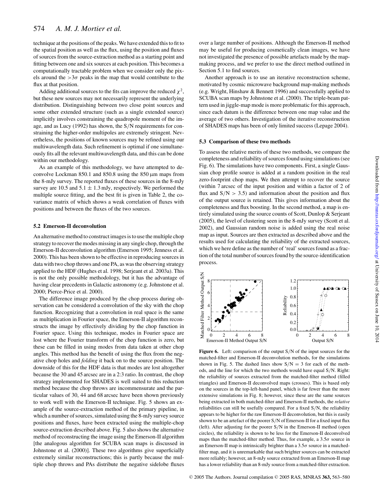technique at the positions of the peaks. We have extended this to fit to the spatial position as well as the flux, using the position and fluxes of sources from the source-extraction method as a starting point and fitting between one and six sources at each position. This becomes a computationally tractable problem when we consider only the pixels around the  $>3\sigma$  peaks in the map that would contribute to the flux at that position.

Adding additional sources to the fits can improve the reduced  $\chi^2$ , but these new sources may not necessarily represent the underlying distribution. Distinguishing between two close point sources and some other extended structure (such as a single extended source) implicitly involves constraining the quadropole moment of the image, and as Lucy (1992) has shown, the S/N requirements for constraining the higher-order multipoles are extremely stringent. Nevertheless, the positions of known sources may be refined using our multiwavelength data. Such refinement is optimal if one simultaneously fits all the relevant multiwavelength data, and this can be done within our methodology.

As an example of this methodology, we have attempted to deconvolve Lockman  $850.1$  and  $850.8$  using the  $850 \,\mu m$  maps from the 8-mJy survey. The reported fluxes of these sources in the 8-mJy survey are 10.5 and  $5.1 \pm 1.3$  mJy, respectively. We performed the multiple source fitting, and the best fit is given in Table 2, the covariance matrix of which shows a weak correlation of fluxes with positions and between the fluxes of the two sources.

#### **5.2 Emerson-II deconvolution**

An alternative method to construct images is to use the multiple chop strategy to recover the modes missing in any single chop, through the Emerson-II deconvolution algorithm (Emerson 1995; Jenness et al. 2000). This has been shown to be effective in reproducing sources in data with two chop throws and one PA, as was the observing strategy applied to the HDF (Hughes et al. 1998; Serjeant et al. 2003a). This is not the only possible methodology, but it has the advantage of having clear precedents in Galactic astronomy (e.g. Johnstone et al. 2000; Pierce-Price et al. 2000).

The difference image produced by the chop process during observation can be considered a convolution of the sky with the chop function. Recognizing that a convolution in real space is the same as multiplication in Fourier space, the Emerson-II algorithm reconstructs the image by effectively dividing by the chop function in Fourier space. Using this technique, modes in Fourier space are lost where the Fourier transform of the chop function is zero, but these can be filled in using modes from data taken at other chop angles. This method has the benefit of using the flux from the negative chop holes and *folding* it back on to the source position. The downside of this for the HDF data is that modes are lost altogether because the 30 and 45 arcsec are in a 2:3 ratio. In contrast, the chop strategy implemented for SHADES is well suited to this reduction method because the chop throws are incommensurate and the particular values of 30, 44 and 68 arcsec have been shown previously to work well with the Emerson-II technique. Fig. 5 shows an example of the source-extraction method of the primary pipeline, in which a number of sources, simulated using the 8-mJy survey source positions and fluxes, have been extracted using the multiple-chop source-extraction described above. Fig. 5 also shows the alternative method of reconstructing the image using the Emerson-II algorithm [the analogous algorithm for SCUBA scan maps is discussed in Johnstone et al. (2000)]. These two algorithms give superficially extremely similar reconstructions; this is partly because the multiple chop throws and PAs distribute the negative sidelobe fluxes

over a large number of positions. Although the Emerson-II method may be useful for producing cosmetically clean images, we have not investigated the presence of possible artefacts made by the mapmaking process, and we prefer to use the direct method outlined in Section 5.1 to find sources.

Another approach is to use an iterative reconstruction scheme, motivated by cosmic microwave background map-making methods (e.g. Wright, Hinshaw & Bennett 1996) and successfully applied to SCUBA scan maps by Johnstone et al. (2000). The triple-beam pattern used in jiggle-map mode is more problematic for this approach, since each datum is the difference between one map value and the average of two others. Investigation of the iterative reconstruction of SHADES maps has been of only limited success (Lepage 2004).

#### **5.3 Comparison of these two methods**

To assess the relative merits of these two methods, we compare the completeness and reliability of sources found using simulations (see Fig. 6). The simulations have two components. First, a single Gaussian chop profile source is added at a random position in the real zero-footprint chop maps. We then attempt to recover the source (within 7 arcsec of the input position and within a factor of 2 of flux and  $S/N > 3.5$ ) and information about the position and flux of the output source is retained. This gives information about the completeness and flux boosting. In the second method, a map is entirely simulated using the source counts of Scott, Dunlop & Serjeant (2005), the level of clustering seen in the 8-mJy survey (Scott et al. 2002), and Gaussian random noise is added using the real noise map as input. Sources are then extracted as described above and the results used for calculating the reliability of the extracted sources, which we here define as the number of 'real' sources found as a fraction of the total number of sources found by the source-identification process.



**Figure 6.** Left: comparison of the output S/N of the input sources for the matched-filter and Emerson-II deconvolution methods, for the simulations shown in Fig. 5. The dashed lines show  $S/N = 3$  for each of the methods, and the line for which the two methods would have equal S/N. Right: the reliability of sources extracted from the matched-filter method (filled triangles) and Emerson-II deconvolved maps (crosses). This is based only on the sources in the top-left-hand panel, which is far fewer than the more extensive simulations in Fig. 8; however, since these are the same sources being extracted in both matched-filter and Emerson-II methods, the *relative* reliabilities can still be usefully compared. For a fixed S/N, the reliability appears to be higher for the raw Emerson-II deconvolution, but this is easily shown to be an artefact of the poorer S/N of Emerson-II for a fixed input flux (left). After adjusting for the poorer S/N in the Emerson-II method (open circles), the reliability is shown to be less for the Emerson-II deconvolved maps than the matched-filter method. Thus, for example, a  $3.5\sigma$  source in an Emerson-II map is intrinsically brighter than a  $3.5\sigma$  source in a matchedfilter map, and it is unremarkable that such brighter sources can be extracted more reliably; however, an 8-mJy source extracted from an Emerson-II map has a lower reliability than an 8-mJy source from a matched-filter extraction.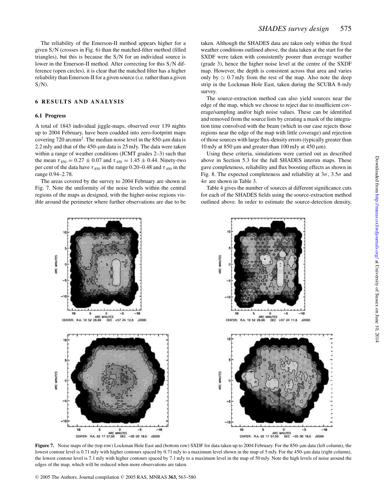The reliability of the Emerson-II method appears higher for a given S/N (crosses in Fig. 6) than the matched-filter method (filled triangles), but this is because the S/N for an individual source is lower in the Emerson-II method. After correcting for this S/N difference (open circles), it is clear that the matched filter has a higher reliability than Emerson-II for a given source (i.e. rather than a given  $S/N$ ).

# **6 RESULTS AND ANALYSIS**

#### **6.1 Progress**

A total of 1843 individual jiggle-maps, observed over 139 nights up to 2004 February, have been coadded into zero-footprint maps covering  $720$  arcmin<sup>2</sup>. The median noise level in the  $850$ - $\mu$ m data is  $2.2$  mJy and that of the 450- $\mu$ m data is 25 mJy. The data were taken within a range of weather conditions (JCMT grades 2–3) such that the mean  $\tau_{850} = 0.27 \pm 0.07$  and  $\tau_{450} = 1.45 \pm 0.44$ . Ninety-two per cent of the data have  $\tau_{850}$  in the range 0.20–0.48 and  $\tau_{450}$  in the range 0.94–2.78.

The areas covered by the survey to 2004 February are shown in Fig. 7. Note the uniformity of the noise levels within the central regions of the maps as designed, with the higher-noise regions visible around the perimeter where further observations are due to be taken. Although the SHADES data are taken only within the fixed weather conditions outlined above, the data taken at the start for the SXDF were taken with consistently poorer than average weather (grade 3), hence the higher noise level at the centre of the SXDF map. However, the depth is consistent across that area and varies only by  $\simeq 0.7$  mJy from the rest of the map. Also note the deep strip in the Lockman Hole East, taken during the SCUBA 8-mJy survey.

The source-extraction method can also yield sources near the edge of the map, which we choose to reject due to insufficient coverage/sampling and/or high noise values. These can be identified and removed from the source lists by creating a mask of the integration time convolved with the beam (which in our case rejects those regions near the edge of the map with little coverage) and rejection of those sources with large flux-density errors (typically greater than 10 mJy at 850  $\mu$ m and greater than 100 mJy at 450  $\mu$ m).

Using these criteria, simulations were carried out as described above in Section 5.3 for the full SHADES interim maps. These gave completeness, reliability and flux boosting effects as shown in Fig. 8. The expected completeness and reliability at  $3\sigma$ ,  $3.5\sigma$  and  $4\sigma$  are shown in Table 3.

Table 4 gives the number of sources at different significance cuts for each of the SHADES fields using the source-extraction method outlined above. In order to estimate the source-detection density,



**Figure 7.** Noise maps of the (top row) Lockman Hole East and (bottom row) SXDF for data taken up to 2004 February. For the 850-µm data (left column), the lowest contour level is 0.71 mJy with higher contours spaced by 0.71 mJy to a maximum level shown in the map of 5 mJy. For the 450-µm data (right column), the lowest contour level is 7.1 mJy with higher contours spaced by 7.1 mJy to a maximum level in the map of 50 mJy. Note the high levels of noise around the edges of the map, which will be reduced when more observations are taken.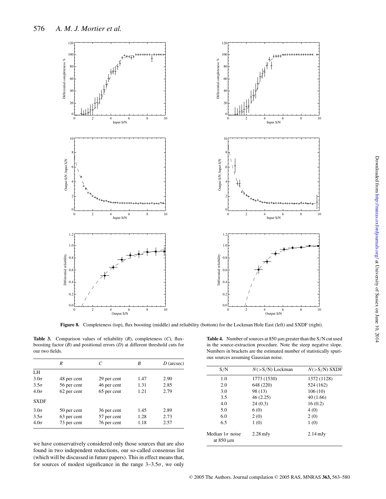

**Figure 8.** Completeness (top), flux boosting (middle) and reliability (bottom) for the Lockman Hole East (left) and SXDF (right).

**Table 3.** Comparison values of reliability (*R*), completeness (*C*), fluxboosting factor (*B*) and positional errors (*D*) at different threshold cuts for our two fields.

|             | R           | C           | B    | $D$ (arcsec) |
|-------------|-------------|-------------|------|--------------|
| LH          |             |             |      |              |
| $3.0\sigma$ | 48 per cent | 29 per cent | 1.47 | 2.90         |
| $3.5\sigma$ | 56 per cent | 46 per cent | 1.31 | 2.85         |
| $4.0\sigma$ | 62 per cent | 65 per cent | 1.21 | 2.79         |
| <b>SXDF</b> |             |             |      |              |
| $3.0\sigma$ | 50 per cent | 36 per cent | 1.45 | 2.89         |
| $3.5\sigma$ | 63 per cent | 57 per cent | 1.28 | 2.73         |
| $4.0\sigma$ | 73 per cent | 76 per cent | 1.18 | 2.57         |

we have conservatively considered only those sources that are also found in two independent reductions, our so-called consensus list (which will be discussed in future papers). This in effect means that, for sources of modest significance in the range  $3-3.5\sigma$ , we only

Table 4. Number of sources at 850  $\mu$ m greater than the S/N cut used in the source-extraction procedure. Note the steep negative slope. Numbers in brackets are the estimated number of statistically spurious sources assuming Gaussian noise.

| S/N                                      | $N(>S/N)$ Lockman  | $N(>S/N)$ SXDF     |
|------------------------------------------|--------------------|--------------------|
| 1.0                                      | 1773 (1530)        | 1372 (1128)        |
| 2.0                                      | 648 (220)          | 524 (162)          |
| 3.0                                      | 98 (13)            | 106(10)            |
| 3.5                                      | 46 (2.25)          | 40(1.66)           |
| 4.0                                      | 24(0.3)            | 16(0.2)            |
| 5.0                                      | 6(0)               | 4(0)               |
| 6.0                                      | 2(0)               | 2(0)               |
| 6.5                                      | 1(0)               | 1(0)               |
| Median $1\sigma$ noise<br>at $850 \mu m$ | $2.28 \text{ mJy}$ | $2.14 \text{ mJy}$ |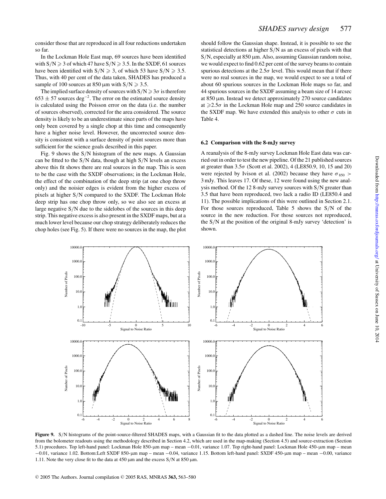consider those that are reproduced in all four reductions undertaken so far.

In the Lockman Hole East map, 69 sources have been identified with  $S/N \ge 3$  of which 47 have  $S/N \ge 3.5$ . In the SXDF, 61 sources have been identified with  $S/N \ge 3$ , of which 53 have  $S/N \ge 3.5$ . Thus, with 40 per cent of the data taken, SHADES has produced a sample of 100 sources at 850  $\mu$ m with S/N  $\geq$  3.5.

The implied surface density of sources with  $S/N \geq 3\sigma$  is therefore  $653 \pm 57$  sources deg<sup>-2</sup>. The error on the estimated source density is calculated using the Poisson error on the data (i.e. the number of sources observed), corrected for the area considered. The source density is likely to be an underestimate since parts of the maps have only been covered by a single chop at this time and consequently have a higher noise level. However, the uncorrected source density is consistent with a surface density of point sources more than sufficient for the science goals described in this paper.

Fig. 9 shows the S/N histogram of the new maps. A Gaussian can be fitted to the  $S/N$  data, though at high  $S/N$  levels an excess above this fit shows there are real sources in the map. This is seen to be the case with the SXDF observations; in the Lockman Hole, the effect of the combination of the deep strip (at one chop throw only) and the noisier edges is evident from the higher excess of pixels at higher S/N compared to the SXDF. The Lockman Hole deep strip has one chop throw only, so we also see an excess at large negative S/N due to the sidelobes of the sources in this deep strip. This negative excess is also present in the SXDF maps, but at a much lower level because our chop strategy deliberately reduces the chop holes (see Fig. 5). If there were no sources in the map, the plot should follow the Gaussian shape. Instead, it is possible to see the statistical detections at higher S/N as an excess of pixels with that  $S/N$ , especially at 850  $\mu$ m. Also, assuming Gaussian random noise, we would expect to find 0.62 per cent of the survey beams to contain spurious detections at the  $2.5\sigma$  level. This would mean that if there were no real sources in the map, we would expect to see a total of about 60 spurious sources in the Lockman Hole maps so far, and 44 spurious sources in the SXDF assuming a beam size of 14 arcsec at 850 µm. Instead we detect approximately 270 source candidates at  $\geq 2.5\sigma$  in the Lockman Hole map and 250 source candidates in the SXDF map. We have extended this analysis to other  $\sigma$  cuts in Table 4.

#### **6.2 Comparison with the 8-mJy survey**

A reanalysis of the 8-mJy survey Lockman Hole East data was carried out in order to test the new pipeline. Of the 21 published sources at greater than 3.5σ (Scott et al. 2002), 4 (LE850.9, 10, 15 and 20) were rejected by Ivison et al. (2002) because they have  $\sigma_{850}$  > 3 mJy. This leaves 17. Of these, 12 were found using the new analysis method. Of the 12 8-mJy survey sources with S/N greater than 3.5 that have been reproduced, two lack a radio ID (LE850.4 and 11). The possible implications of this were outlined in Section 2.1. For those sources reproduced, Table 5 shows the S/N of the source in the new reduction. For those sources not reproduced, the S/N at the position of the original 8-mJy survey 'detection' is shown.



Figure 9. S/N histograms of the point-source-filtered SHADES maps, with a Gaussian fit to the data plotted as a dashed line. The noise levels are derived from the bolometer readouts using the methodology described in Section 4.2, which are used in the map-making (Section 4.5) and source-extraction (Section 5.1) procedures. Top left-hand panel: Lockman Hole 850-µm map – mean −0.01, variance 1.07. Top right-hand panel: Lockman Hole 450-µm map – mean −0.01, variance 1.02. Bottom:Left SXDF 850-µm map – mean −0.04, variance 1.15. Bottom left-hand panel: SXDF 450-µm map – mean −0.00, variance 1.11. Note the very close fit to the data at  $450 \,\mu m$  and the excess S/N at  $850 \,\mu m$ .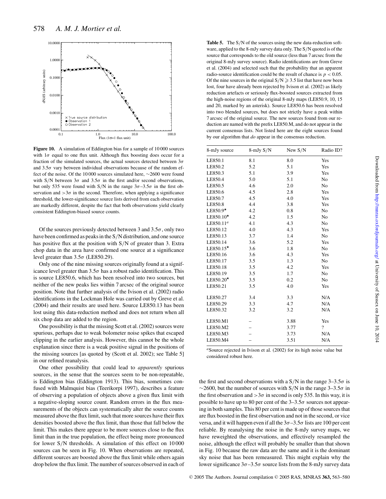

**Figure 10.** A simulation of Eddington bias for a sample of 10 000 sources with  $1\sigma$  equal to one flux unit. Although flux boosting does occur for a fraction of the simulated sources, the actual sources detected between  $3\sigma$ and  $3.5\sigma$  vary between individual observations because of the random effect of the noise. Of the 10 000 sources simulated here, ∼2600 were found with S/N between  $3\sigma$  and  $3.5\sigma$  in the first and/or second observations, but only 535 were found with S/N in the range  $3\sigma - 3.5\sigma$  in the first observation and  $>3\sigma$  in the second. Therefore, when applying a significance threshold, the lower-significance source lists derived from each observation are markedly different, despite the fact that both observations yield clearly consistent Eddington-biased source counts.

Of the sources previously detected between 3 and  $3.5\sigma$ , only two have been confirmed as peaks in the S/N distribution, and one source has positive flux at the position with S/N of greater than 3. Extra chop data in the area have confirmed one source at a significance level greater than  $3.5\sigma$  (LE850.29).

Only one of the nine missing sources originally found at a significance level greater than  $3.5\sigma$  has a robust radio identification. This is source LE850.6, which has been resolved into two sources, but neither of the new peaks lies within 7 arcsec of the original source position. Note that further analysis of the Ivison et al. (2002) radio identifications in the Lockman Hole was carried out by Greve et al. (2004) and their results are used here. Source LE850.13 has been lost using this data-reduction method and does not return when all six chop data are added to the region.

One possibility is that the missing Scott et al. (2002) sources were spurious, perhaps due to weak bolometer noise spikes that escaped clipping in the earlier analysis. However, this cannot be the whole explanation since there is a weak positive signal in the positions of the missing sources [as quoted by (Scott et al. 2002); see Table 5] in our refined reanalysis.

One other possibility that could lead to *apparently* spurious sources, in the sense that the sources seem to be non-repeatable, is Eddington bias (Eddington 1913). This bias, sometimes confused with Malmquist bias (Teerikorpi 1997), describes a feature of observing a population of objects above a given flux limit with a negative-sloping source count. Random errors in the flux measurements of the objects can systematically alter the source counts measured above the flux limit, such that more sources have their flux densities boosted above the flux limit, than those that fall below the limit. This makes there appear to be more sources close to the flux limit than in the true population, the effect being more pronounced for lower S/N thresholds. A simulation of this effect on 10 000 sources can be seen in Fig. 10. When observations are repeated, different sources are boosted above the flux limit while others again drop below the flux limit. The number of sources observed in each of Table 5. The S/N of the sources using the new data-reduction software, applied to the 8-mJy survey data only. The S/N quoted is of the source that corresponds to the old source (less than 7 arcsec from the original 8-mJy survey source). Radio identifications are from Greve et al. (2004) and selected such that the probability that an apparent radio-source identification could be the result of chance is  $p < 0.05$ . Of the nine sources in the original  $S/N \ge 3.5$  list that have now been lost, four have already been rejected by Ivison et al. (2002) as likely reduction artefacts or seriously flux-boosted sources extracted from the high-noise regions of the original 8-mJy maps (LE850.9, 10, 15 and 20, marked by an asterisk). Source LE850.6 has been resolved into two blended sources, but does not strictly have a peak within 7 arcsec of the original source. The new sources found from our reduction are named with the prefix LE850.M, and do not appear in the current consensus lists. Not listed here are the eight sources found by our algorithm that *do* appear in the consensus reduction.

| 8-mJy source          | $8$ -mJy $S/N$ | New $S/N$ | Radio ID?                |
|-----------------------|----------------|-----------|--------------------------|
| LE850.1               | 8.1            | 8.0       | Yes                      |
| LE850.2               | 5.2            | 5.1       | Yes                      |
| LE850.3               | 5.1            | 3.9       | Yes                      |
| LE850.4               | 5.0            | 5.1       | N <sub>o</sub>           |
| LE850.5               | 4.6            | 2.0       | No                       |
| LE850.6               | 4.5            | 2.8       | Yes                      |
| LE850.7               | 4.5            | 4.0       | Yes                      |
| LE850.8               | 4.4            | 3.8       | Yes                      |
| LE850.9*              | 4.2            | 0.8       | N <sub>o</sub>           |
| $LE850.10*$           | 4.2            | 1.5       | N <sub>0</sub>           |
| LE850.11 <sup>a</sup> | 4.1            | 4.3       | N <sub>o</sub>           |
| LE850.12              | 4.0            | 4.3       | Yes                      |
| LE850.13              | 3.7            | 1.4       | No                       |
| LE850.14              | 3.6            | 5.2       | Yes                      |
| LE850.15*             | 3.6            | 1.8       | N <sub>o</sub>           |
| LE850.16              | 3.6            | 4.3       | Yes                      |
| LE850.17              | 3.5            | 1.3       | N <sub>0</sub>           |
| LE850.18              | 3.5            | 4.2       | Yes                      |
| LE850.19              | 3.5            | 1.7       | No                       |
| LE850.20*             | 3.5            | 0.2       | No                       |
| LE850.21              | 3.5            | 4.0       | Yes                      |
| LE850.27              | 3.4            | 3.3       | N/A                      |
| LE850.29              | 3.3            | 4.7       | N/A                      |
| LE850.32              | 3.2            | 3.2       | N/A                      |
| LE850.M1              |                | 3.88      | Yes                      |
| LE850.M2              |                | 3.77      | $\overline{\mathcal{L}}$ |
| LE850.M3              |                | 3.73      | N/A                      |
| LE850.M4              |                | 3.51      | N/A                      |

<sup>*a*</sup>Source rejected in Ivison et al. (2002) for its high noise value but considered robust here.

the first and second observations with a  $S/N$  in the range  $3-3.5\sigma$  is  $\sim$ 2600, but the number of sources with S/N in the range 3–3.5 $\sigma$  in the first observation and  $>3\sigma$  in second is only 535. In this way, it is possible to have up to 80 per cent of the  $3-3.5\sigma$  sources not appearing in both samples. This 80 per cent is made up of those sources that are flux boosted in the first observation and not in the second, or vice versa, and it will happen even if all the  $3\sigma - 3.5\sigma$  lists are 100 per cent reliable. By reanalysing the noise in the 8-mJy survey maps, we have reweighted the observations, and effectively resampled the noise, although the effect will probably be smaller than that shown in Fig. 10 because the raw data are the same and it is the dominant sky noise that has been remeasured. This might explain why the lower significance  $3\sigma - 3.5\sigma$  source lists from the 8-mJy survey data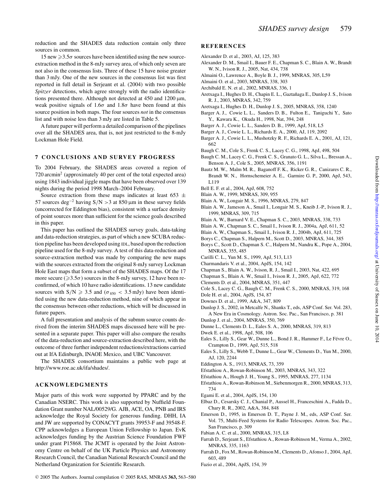reduction and the SHADES data reduction contain only three sources in common.

# 15 new  $\geq 3.5\sigma$  sources have been identified using the new sourceextraction method in the 8-mJy survey area, of which only seven are not also in the consensus lists. Three of these 15 have noise greater than 3 mJy. One of the new sources in the consensus list was first reported in full detail in Serjeant et al. (2004) with two possible *Spitzer* detections, which agree strongly with the radio identifications presented there. Although not detected at  $450$  and  $1200 \,\mu m$ , weak positive signals of  $1.6\sigma$  and  $1.8\sigma$  have been found at this source position in both maps. The four sources *not* in the consensus list and with noise less than 3 mJy are listed in Table 5.

A future paper will perform a detailed comparison of the pipelines over all the SHADES area, that is, not just restricted to the 8-mJy Lockman Hole Field.

# **7 CONCLUSIONS AND SURVEY PROGRESS**

To 2004 February, the SHADES areas covered a region of 720 arcmin<sup>2</sup> (approximately 40 per cent of the total expected area) using 1843 individual jiggle maps that have been observed over 139 nights during the period 1998 March–2004 February.

Source extraction from these maps indicates at least 653  $\pm$ 57 sources deg<sup>-2</sup> having S/N > 3 at 850 μm in these survey fields (uncorrected for Eddington bias), consistent with a surface density of point sources more than sufficient for the science goals described in this paper.

This paper has outlined the SHADES survey goals, data-taking and data-reduction strategies, as part of which a new SCUBA reduction pipeline has been developed using IDL, based upon the reduction pipeline used for the 8-mJy survey. A test of this data-reduction and source-extraction method was made by comparing the new maps with the sources extracted from the original 8-mJy survey Lockman Hole East maps that form a subset of the SHADES maps. Of the 17 more secure ( $\geq 3.5\sigma$ ) sources in the 8-mJy survey, 12 have been reconfirmed, of which 10 have radio identifications. 13 new candidate sources with  $S/N \ge 3.5$  and  $(\sigma_{850} < 3.5$  mJy) have been identified using the new data-reduction method, nine of which appear in the consensus between other reductions, which will be discussed in future papers.

A full presentation and analysis of the submm source counts derived from the interim SHADES maps discussed here will be presented in a separate paper. This paper will also compare the results of the data-reduction and source-extraction described here, with the outcome of three further independent reductions/extractions carried out at IfA Edinburgh, INAOE Mexico, and UBC Vancouver.

The SHADES consortium maintains a public web page at http://www.roe.ac.uk/ifa/shades/.

# **ACKNOWLEDGMENTS**

Major parts of this work were supported by PPARC and by the Canadian NSERC. This work is also supported by Nuffield Foundation Grant number NAL/00529/G. AJB, ACE, OA, PNB and IRS acknowledge the Royal Society for generous funding. DHH, IA and JW are supported by CONACYT grants 39953-F and 39548-F. CPP acknowledges a European Union Fellowship to Japan. EvK acknowledges funding by the Austrian Science Foundation FWF under grant P15868. The JCMT is operated by the Joint Astronomy Centre on behalf of the UK Particle Physics and Astronomy Research Council, the Canadian National Research Council and the Netherland Organization for Scientific Research.

#### **REFERENCES**

- Alexander D. et al., 2003, AJ, 125, 383
- Alexander D. M., Smail I., Bauer F. E., Chapman S. C., Blain A. W., Brandt W. N., Ivison R. J., 2005, Nat, 434, 738
- Almaini O., Lawrence A., Boyle B. J., 1999, MNRAS, 305, L59
- Almaini O. et al., 2003, MNRAS, 338, 303
- Archibald E. N. et al., 2002, MNRAS, 336, 1
- Aretxaga I., Hughes D. H., Chapin E. L., Gaztañaga E., Dunlop J. S., Ivison R. J., 2003, MNRAS, 342, 759
- Aretxaga I., Hughes D. H., Dunlop J. S., 2005, MNRAS, 358, 1240
- Barger A. J., Cowie L. L., Sanders D. B., Fulton E., Taniguchi Y., Sato Y., Kawara K., Okuda H., 1998, Nat, 394, 248
- Barger A. J., Cowie L. L., Sanders D. B., 1999, ApJ, 518, L5
- Barger A. J., Cowie L. L., Richards E. A., 2000, AJ, 119, 2092
- Barger A. J., Cowie L. L., Mushotzky R. F., Richards E. A., 2001, AJ, 121, 662
- Baugh C. M., Cole S., Frenk C. S., Lacey C. G., 1998, ApJ, 498, 504
- Baugh C. M., Lacey C. G., Frenk C. S., Granato G. L., Silva L., Bressan A., Benson A. J., Cole S., 2005, MNRAS, 356, 1191
- Bautz M. W., Malm M. R., Baganoff F. K., Ricker G. R., Canizares C. R., Brandt W. N., Hornschemeier A. E., Garmire G. P., 2000, ApJ, 543, L119
- Bell E. F. et al., 2004, ApJ, 608, 752
- Blain A. W., 1999, MNRAS, 309, 955
- Blain A. W., Longair M. S., 1996, MNRAS, 279, 847
- Blain A. W., Jameson A., Smail I., Longair M. S., Kneib J.-P., Ivison R. J., 1999, MNRAS, 309, 715
- Blain A. W., Barnard V. E., Chapman S. C., 2003, MNRAS, 338, 733
- Blain A. W., Chapman S. C., Smail I., Ivison R. J., 2004a, ApJ, 611, 52
- Blain A. W., Chapman S., Smail I., Ivison R. J., 2004b, ApJ, 611, 725
- Borys C., Chapman S., Halpern M., Scott D., 2003, MNRAS, 344, 385
- Borys C., Scott D., Chapman S. C., Halpern M., Nandra K., Pope A., 2004, MNRAS, 355, 485
- Carilli C. L., Yun M. S., 1999, ApJ, 513, L13
- Charmandaris V. et al., 2004, ApJS, 154, 142
- Chapman S., Blain A. W., Ivison, R. J., Smail I., 2003, Nat, 422, 695
- Chapman S., Blain A. W., Smail I., Ivison R. J., 2005, ApJ, 622, 772
- Clements D. et al., 2004, MNRAS, 351, 447
- Cole S., Lacey C. G., Baugh C. M., Frenk C. S., 2000, MNRAS, 319, 168 Dole H. et al., 2004, ApJS, 154, 87
- Downes D. et al., 1999, A&A, 347, 809
- Dunlop J. S., 2002, in Metcalfe N., Shanks T., eds, ASP Conf. Ser. Vol. 283, A New Era in Cosmology. Astron. Soc. Pac., San Francisco, p. 381
- Dunlop J. et al., 2004, MNRAS, 350, 769
- Dunne L., Clements D. L., Eales S. A., 2000, MNRAS, 319, 813
- Dwek E. et al., 1998, ApJ, 508, 106
- Eales S., Lilly S., Gear W., Dunne L., Bond J. R., Hammer F., Le Févre O., Crampton D., 1999, ApJ, 515, 518
- Eales S., Lilly S., Webb T., Dunne L., Gear W., Clements D., Yun M., 2000, AJ, 120, 2244
- Eddington A. S., 1913, MNRAS, 73, 359
- Efstathiou A., Rowan-Robinson M., 2003, MNRAS, 343, 322
- Efstathiou A., Hough J. H., Young S., 1995, MNRAS, 277, 1134
- Efstathiou A., Rowan-Robinson M., Siebenmorgen R., 2000, MNRAS, 313, 734
- Egami E. et al., 2004, ApJS, 154, 130
- Elbaz D., Cesarsky C. J., Chanial P., Aussel H., Franceschini A., Fadda D., Chary R. R., 2002, A&A, 384, 848
- Emerson D., 1995, in Emerson D. T., Payne J. M., eds, ASP Conf. Ser. Vol. 75, Multi-Feed Systems for Radio Telescopes. Astron. Soc. Pac., San Francisco, p. 309
- Fabian A. C. et al., 2000, MNRAS, 315, L8
- Farrah D., Serjeant S., Efstathiou A., Rowan-Robinson M., Verma A., 2002, MNRAS, 335, 1163
- Farrah D., Fox M., Rowan-Robinson M., Clements D., Afonso J., 2004, ApJ, 603, 489
- Fazio et al., 2004, ApJS, 154, 39